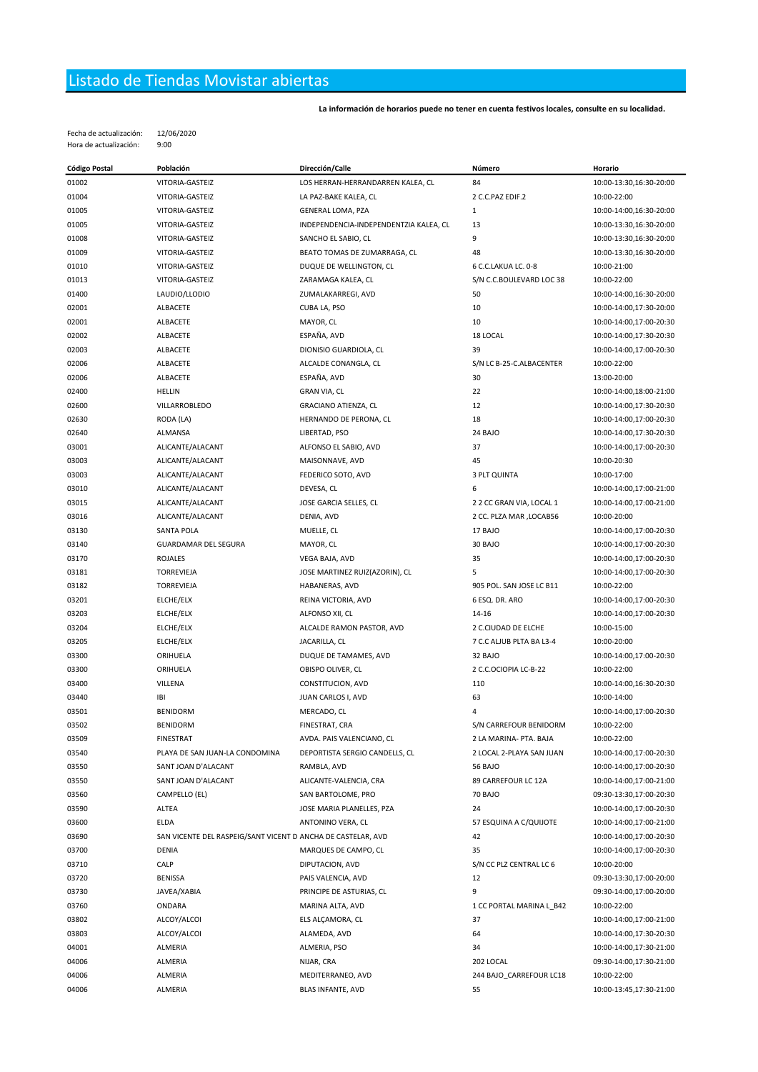## Listado de Tiendas Movistar abiertas

La información de horarios puede no tener en cuenta festivos locales, consulte en su localidad.

Fecha de actualización: 12/06/2020 Hora de actualización: 9:00

| <b>Código Postal</b> | Población                                                    | Dirección/Calle                        | Número                   | Horario                 |
|----------------------|--------------------------------------------------------------|----------------------------------------|--------------------------|-------------------------|
| 01002                | VITORIA-GASTEIZ                                              | LOS HERRAN-HERRANDARREN KALEA, CL      | 84                       | 10:00-13:30,16:30-20:00 |
| 01004                | VITORIA-GASTEIZ                                              | LA PAZ-BAKE KALEA, CL                  | 2 C.C.PAZ EDIF.2         | 10:00-22:00             |
| 01005                | VITORIA-GASTEIZ                                              | GENERAL LOMA, PZA                      | $\mathbf{1}$             | 10:00-14:00,16:30-20:00 |
| 01005                | VITORIA-GASTEIZ                                              | INDEPENDENCIA-INDEPENDENTZIA KALEA, CL | 13                       | 10:00-13:30,16:30-20:00 |
| 01008                | VITORIA-GASTEIZ                                              | SANCHO EL SABIO, CL                    | 9                        | 10:00-13:30,16:30-20:00 |
| 01009                | VITORIA-GASTEIZ                                              | BEATO TOMAS DE ZUMARRAGA, CL           | 48                       | 10:00-13:30,16:30-20:00 |
| 01010                | VITORIA-GASTEIZ                                              | DUQUE DE WELLINGTON, CL                | 6 C.C.LAKUA LC. 0-8      | 10:00-21:00             |
| 01013                | VITORIA-GASTEIZ                                              | ZARAMAGA KALEA, CL                     | S/N C.C.BOULEVARD LOC 38 | 10:00-22:00             |
| 01400                | LAUDIO/LLODIO                                                | ZUMALAKARREGI, AVD                     | 50                       | 10:00-14:00,16:30-20:00 |
| 02001                | ALBACETE                                                     | CUBA LA, PSO                           | 10                       | 10:00-14:00,17:30-20:00 |
| 02001                | ALBACETE                                                     | MAYOR, CL                              | 10                       | 10:00-14:00,17:00-20:30 |
| 02002                | ALBACETE                                                     | ESPAÑA, AVD                            | 18 LOCAL                 | 10:00-14:00,17:30-20:30 |
| 02003                | ALBACETE                                                     | DIONISIO GUARDIOLA, CL                 | 39                       | 10:00-14:00,17:00-20:30 |
| 02006                | ALBACETE                                                     | ALCALDE CONANGLA, CL                   | S/N LC B-25-C.ALBACENTER | 10:00-22:00             |
| 02006                |                                                              | ESPAÑA, AVD                            | 30                       |                         |
|                      | ALBACETE                                                     |                                        | 22                       | 13:00-20:00             |
| 02400                | HELLIN                                                       | <b>GRAN VIA, CL</b>                    | 12                       | 10:00-14:00,18:00-21:00 |
| 02600                | VILLARROBLEDO                                                | GRACIANO ATIENZA, CL                   |                          | 10:00-14:00,17:30-20:30 |
| 02630                | RODA (LA)                                                    | HERNANDO DE PERONA, CL                 | 18                       | 10:00-14:00,17:00-20:30 |
| 02640                | ALMANSA                                                      | LIBERTAD, PSO                          | 24 BAJO                  | 10:00-14:00,17:30-20:30 |
| 03001                | ALICANTE/ALACANT                                             | ALFONSO EL SABIO, AVD                  | 37                       | 10:00-14:00,17:00-20:30 |
| 03003                | ALICANTE/ALACANT                                             | MAISONNAVE, AVD                        | 45                       | 10:00-20:30             |
| 03003                | ALICANTE/ALACANT                                             | FEDERICO SOTO, AVD                     | 3 PLT QUINTA             | 10:00-17:00             |
| 03010                | ALICANTE/ALACANT                                             | DEVESA, CL                             | 6                        | 10:00-14:00,17:00-21:00 |
| 03015                | ALICANTE/ALACANT                                             | JOSE GARCIA SELLES, CL                 | 2 2 CC GRAN VIA, LOCAL 1 | 10:00-14:00,17:00-21:00 |
| 03016                | ALICANTE/ALACANT                                             | DENIA, AVD                             | 2 CC. PLZA MAR , LOCAB56 | 10:00-20:00             |
| 03130                | SANTA POLA                                                   | MUELLE, CL                             | 17 BAJO                  | 10:00-14:00,17:00-20:30 |
| 03140                | <b>GUARDAMAR DEL SEGURA</b>                                  | MAYOR, CL                              | 30 BAJO                  | 10:00-14:00,17:00-20:30 |
| 03170                | <b>ROJALES</b>                                               | VEGA BAJA, AVD                         | 35                       | 10:00-14:00,17:00-20:30 |
| 03181                | TORREVIEJA                                                   | JOSE MARTINEZ RUIZ(AZORIN), CL         | 5                        | 10:00-14:00,17:00-20:30 |
| 03182                | <b>TORREVIEJA</b>                                            | HABANERAS, AVD                         | 905 POL. SAN JOSE LC B11 | 10:00-22:00             |
| 03201                | ELCHE/ELX                                                    | REINA VICTORIA, AVD                    | 6 ESQ. DR. ARO           | 10:00-14:00,17:00-20:30 |
| 03203                | ELCHE/ELX                                                    | ALFONSO XII, CL                        | 14-16                    | 10:00-14:00,17:00-20:30 |
| 03204                | ELCHE/ELX                                                    | ALCALDE RAMON PASTOR, AVD              | 2 C.CIUDAD DE ELCHE      | 10:00-15:00             |
| 03205                | ELCHE/ELX                                                    | JACARILLA, CL                          | 7 C.C ALJUB PLTA BA L3-4 | 10:00-20:00             |
| 03300                | ORIHUELA                                                     | DUQUE DE TAMAMES, AVD                  | 32 BAJO                  | 10:00-14:00,17:00-20:30 |
| 03300                | ORIHUELA                                                     | OBISPO OLIVER, CL                      | 2 C.C.OCIOPIA LC-B-22    | 10:00-22:00             |
| 03400                | VILLENA                                                      | CONSTITUCION, AVD                      | 110                      | 10:00-14:00,16:30-20:30 |
| 03440                | IBI                                                          | JUAN CARLOS I, AVD                     | 63                       | 10:00-14:00             |
| 03501                | <b>BENIDORM</b>                                              | MERCADO, CL                            | 4                        | 10:00-14:00,17:00-20:30 |
| 03502                | <b>BENIDORM</b>                                              | FINESTRAT, CRA                         | S/N CARREFOUR BENIDORM   | 10:00-22:00             |
| 03509                | <b>FINESTRAT</b>                                             | AVDA. PAIS VALENCIANO, CL              | 2 LA MARINA- PTA. BAJA   | 10:00-22:00             |
| 03540                | PLAYA DE SAN JUAN-LA CONDOMINA                               | DEPORTISTA SERGIO CANDELLS, CL         | 2 LOCAL 2-PLAYA SAN JUAN | 10:00-14:00,17:00-20:30 |
| 03550                | SANT JOAN D'ALACANT                                          | RAMBLA, AVD                            | 56 BAJO                  | 10:00-14:00,17:00-20:30 |
| 03550                | SANT JOAN D'ALACANT                                          | ALICANTE-VALENCIA, CRA                 | 89 CARREFOUR LC 12A      | 10:00-14:00,17:00-21:00 |
| 03560                | CAMPELLO (EL)                                                | SAN BARTOLOME, PRO                     | <b>70 BAJO</b>           | 09:30-13:30,17:00-20:30 |
| 03590                | ALTEA                                                        | JOSE MARIA PLANELLES, PZA              | 24                       | 10:00-14:00,17:00-20:30 |
| 03600                | <b>ELDA</b>                                                  | ANTONINO VERA, CL                      | 57 ESQUINA A C/QUIJOTE   | 10:00-14:00,17:00-21:00 |
| 03690                | SAN VICENTE DEL RASPEIG/SANT VICENT D ANCHA DE CASTELAR, AVD |                                        | 42                       | 10:00-14:00,17:00-20:30 |
| 03700                | DENIA                                                        | MARQUES DE CAMPO, CL                   | 35                       | 10:00-14:00,17:00-20:30 |
| 03710                | CALP                                                         | DIPUTACION, AVD                        | S/N CC PLZ CENTRAL LC 6  | 10:00-20:00             |
| 03720                | <b>BENISSA</b>                                               | PAIS VALENCIA, AVD                     | 12                       | 09:30-13:30,17:00-20:00 |
| 03730                | JAVEA/XABIA                                                  | PRINCIPE DE ASTURIAS, CL               | 9                        | 09:30-14:00,17:00-20:00 |
| 03760                | ONDARA                                                       | MARINA ALTA, AVD                       | 1 CC PORTAL MARINA L_B42 | 10:00-22:00             |
| 03802                | ALCOY/ALCOI                                                  | ELS ALÇAMORA, CL                       | 37                       | 10:00-14:00,17:00-21:00 |
| 03803                | ALCOY/ALCOI                                                  | ALAMEDA, AVD                           | 64                       | 10:00-14:00,17:30-20:30 |
| 04001                | ALMERIA                                                      | ALMERIA, PSO                           | 34                       | 10:00-14:00,17:30-21:00 |
| 04006                | ALMERIA                                                      | NIJAR, CRA                             | 202 LOCAL                | 09:30-14:00,17:30-21:00 |
| 04006                | ALMERIA                                                      | MEDITERRANEO, AVD                      |                          |                         |
|                      |                                                              |                                        | 244 BAJO_CARREFOUR LC18  | 10:00-22:00             |
| 04006                | ALMERIA                                                      | BLAS INFANTE, AVD                      | 55                       | 10:00-13:45,17:30-21:00 |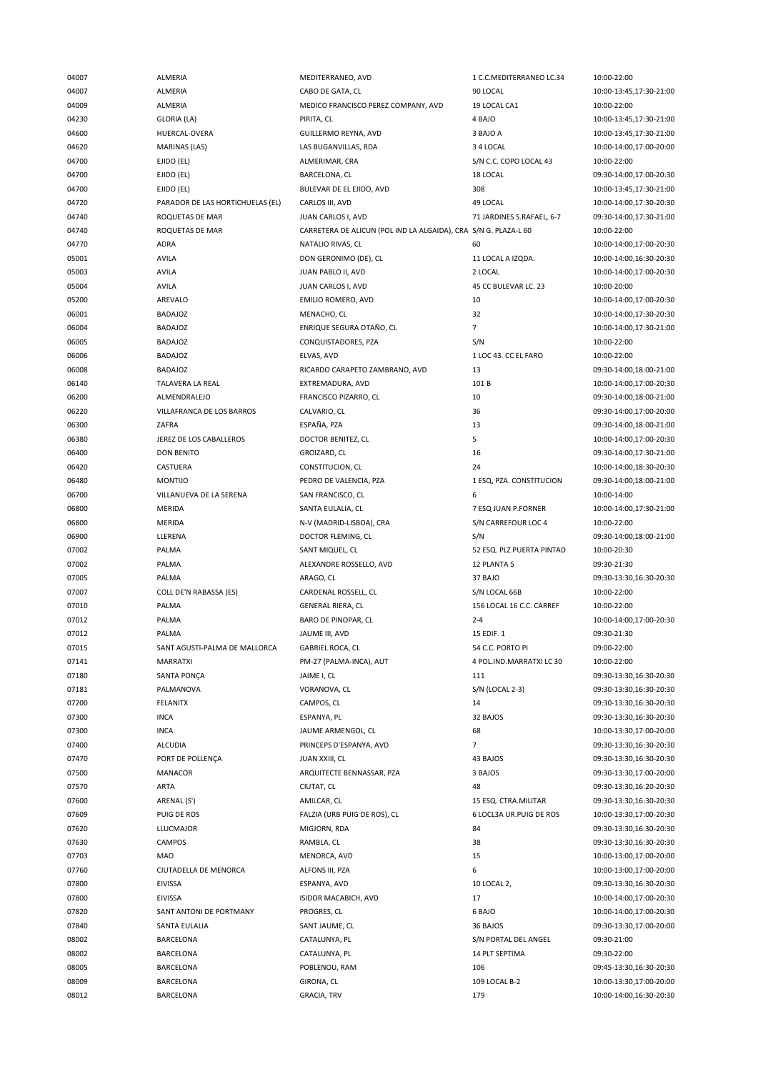| 04007          | <b>ALMERIA</b>                   | MEDITERRANEO, AVD                                               | 1 C.C.MEDITERRANEO LC.34  | 10:00-22:00                                        |
|----------------|----------------------------------|-----------------------------------------------------------------|---------------------------|----------------------------------------------------|
| 04007          | ALMERIA                          | CABO DE GATA, CL                                                | 90 LOCAL                  | 10:00-13:45,17:30-21:00                            |
| 04009          | ALMERIA                          | MEDICO FRANCISCO PEREZ COMPANY, AVD                             | 19 LOCAL CA1              | 10:00-22:00                                        |
| 04230          | GLORIA (LA)                      | PIRITA, CL                                                      | 4 BAJO                    | 10:00-13:45,17:30-21:00                            |
| 04600          | HUERCAL-OVERA                    | GUILLERMO REYNA, AVD                                            | 3 BAJO A                  | 10:00-13:45,17:30-21:00                            |
| 04620          | <b>MARINAS (LAS)</b>             | LAS BUGANVILLAS, RDA                                            | 3 4 LOCAL                 | 10:00-14:00,17:00-20:00                            |
| 04700          | EJIDO (EL)                       | ALMERIMAR, CRA                                                  | S/N C.C. COPO LOCAL 43    | 10:00-22:00                                        |
| 04700          | EJIDO (EL)                       | BARCELONA, CL                                                   | 18 LOCAL                  | 09:30-14:00,17:00-20:30                            |
| 04700          | EJIDO (EL)                       | BULEVAR DE EL EJIDO, AVD                                        | 308                       | 10:00-13:45,17:30-21:00                            |
|                |                                  |                                                                 |                           |                                                    |
| 04720          | PARADOR DE LAS HORTICHUELAS (EL) | CARLOS III, AVD                                                 | 49 LOCAL                  | 10:00-14:00,17:30-20:30                            |
| 04740          | ROQUETAS DE MAR                  | JUAN CARLOS I, AVD                                              | 71 JARDINES S.RAFAEL, 6-7 | 09:30-14:00,17:30-21:00                            |
| 04740          | ROQUETAS DE MAR                  | CARRETERA DE ALICUN (POL IND LA ALGAIDA), CRA S/N G. PLAZA-L 60 |                           | 10:00-22:00                                        |
| 04770          | <b>ADRA</b>                      | NATALIO RIVAS, CL                                               | 60                        | 10:00-14:00,17:00-20:30                            |
| 05001          | AVILA                            | DON GERONIMO (DE), CL                                           | 11 LOCAL A IZQDA.         | 10:00-14:00,16:30-20:30                            |
| 05003          | <b>AVILA</b>                     | JUAN PABLO II, AVD                                              | 2 LOCAL                   | 10:00-14:00,17:00-20:30                            |
| 05004          | AVILA                            | JUAN CARLOS I, AVD                                              | 45 CC BULEVAR LC. 23      | 10:00-20:00                                        |
| 05200          | AREVALO                          | EMILIO ROMERO, AVD                                              | 10                        | 10:00-14:00,17:00-20:30                            |
| 06001          | <b>BADAJOZ</b>                   | MENACHO, CL                                                     | 32                        | 10:00-14:00,17:30-20:30                            |
| 06004          | <b>BADAJOZ</b>                   | ENRIQUE SEGURA OTAÑO, CL                                        | $\overline{7}$            | 10:00-14:00,17:30-21:00                            |
| 06005          | <b>BADAJOZ</b>                   | CONQUISTADORES, PZA                                             | S/N                       | 10:00-22:00                                        |
| 06006          | <b>BADAJOZ</b>                   | ELVAS, AVD                                                      | 1 LOC 43. CC EL FARO      | 10:00-22:00                                        |
| 06008          | <b>BADAJOZ</b>                   | RICARDO CARAPETO ZAMBRANO, AVD                                  | 13                        | 09:30-14:00,18:00-21:00                            |
| 06140          | TALAVERA LA REAL                 | EXTREMADURA, AVD                                                | 101 B                     | 10:00-14:00,17:00-20:30                            |
| 06200          | ALMENDRALEJO                     | FRANCISCO PIZARRO, CL                                           | 10                        | 09:30-14:00,18:00-21:00                            |
| 06220          | VILLAFRANCA DE LOS BARROS        | CALVARIO, CL                                                    | 36                        | 09:30-14:00,17:00-20:00                            |
| 06300          | ZAFRA                            | ESPAÑA, PZA                                                     | 13                        | 09:30-14:00,18:00-21:00                            |
| 06380          | JEREZ DE LOS CABALLEROS          | DOCTOR BENITEZ, CL                                              | 5                         | 10:00-14:00,17:00-20:30                            |
|                | <b>DON BENITO</b>                |                                                                 |                           |                                                    |
| 06400          |                                  | GROIZARD, CL                                                    | 16                        | 09:30-14:00,17:30-21:00                            |
| 06420          | CASTUERA                         | CONSTITUCION, CL                                                | 24                        | 10:00-14:00,18:30-20:30                            |
| 06480          | <b>MONTIJO</b>                   | PEDRO DE VALENCIA, PZA                                          | 1 ESQ, PZA. CONSTITUCION  | 09:30-14:00,18:00-21:00                            |
| 06700          | VILLANUEVA DE LA SERENA          | SAN FRANCISCO, CL                                               | 6                         | 10:00-14:00                                        |
| 06800          | MERIDA                           | SANTA EULALIA, CL                                               | 7 ESQ JUAN P.FORNER       | 10:00-14:00,17:30-21:00                            |
| 06800          | <b>MERIDA</b>                    | N-V (MADRID-LISBOA), CRA                                        | S/N CARREFOUR LOC 4       | 10:00-22:00                                        |
| 06900          | LLERENA                          | DOCTOR FLEMING, CL                                              | S/N                       | 09:30-14:00,18:00-21:00                            |
| 07002          | PALMA                            | SANT MIQUEL, CL                                                 | 52 ESQ. PLZ PUERTA PINTAD | 10:00-20:30                                        |
| 07002          | PALMA                            | ALEXANDRE ROSSELLO, AVD                                         | 12 PLANTA 5               | 09:30-21:30                                        |
| 07005          | PALMA                            | ARAGO, CL                                                       | 37 BAJO                   | 09:30-13:30,16:30-20:30                            |
| 07007          | COLL DE'N RABASSA (ES)           | CARDENAL ROSSELL, CL                                            | S/N LOCAL 66B             | 10:00-22:00                                        |
| 07010          | PALMA                            | GENERAL RIERA, CL                                               | 156 LOCAL 16 C.C. CARREF  | 10:00-22:00                                        |
| 07012          | PALMA                            | BARO DE PINOPAR, CL                                             | $2 - 4$                   | 10:00-14:00,17:00-20:30                            |
| 07012          | PALMA                            | JAUME III, AVD                                                  | 15 EDIF. 1                | 09:30-21:30                                        |
| 07015          | SANT AGUSTI-PALMA DE MALLORCA    | GABRIEL ROCA, CL                                                | 54 C.C. PORTO PI          | 09:00-22:00                                        |
| 07141          | <b>MARRATXI</b>                  | PM-27 (PALMA-INCA), AUT                                         | 4 POL.IND.MARRATXI LC 30  | 10:00-22:00                                        |
| 07180          | SANTA PONÇA                      | JAIME I, CL                                                     | 111                       | 09:30-13:30,16:30-20:30                            |
| 07181          | PALMANOVA                        | VORANOVA, CL                                                    | S/N (LOCAL 2-3)           | 09:30-13:30,16:30-20:30                            |
| 07200          | <b>FELANITX</b>                  | CAMPOS, CL                                                      | 14                        | 09:30-13:30,16:30-20:30                            |
| 07300          | <b>INCA</b>                      | ESPANYA, PL                                                     | 32 BAJOS                  | 09:30-13:30,16:30-20:30                            |
| 07300          | <b>INCA</b>                      | JAUME ARMENGOL, CL                                              | 68                        | 10:00-13:30,17:00-20:00                            |
|                | <b>ALCUDIA</b>                   | PRINCEPS D'ESPANYA, AVD                                         | $\overline{7}$            | 09:30-13:30,16:30-20:30                            |
| 07400          |                                  |                                                                 |                           |                                                    |
| 07470          | PORT DE POLLENCA                 | JUAN XXIII, CL                                                  | 43 BAJOS                  | 09:30-13:30,16:30-20:30                            |
| 07500          | MANACOR                          | ARQUITECTE BENNASSAR, PZA                                       | 3 BAJOS                   | 09:30-13:30,17:00-20:00                            |
| 07570          | ARTA                             | CIUTAT, CL                                                      | 48                        | 09:30-13:30,16:20-20:30                            |
| 07600          | ARENAL (S')                      | AMILCAR, CL                                                     | 15 ESQ. CTRA.MILITAR      | 09:30-13:30,16:30-20:30                            |
| 07609          | PUIG DE ROS                      | FALZIA (URB PUIG DE ROS), CL                                    | 6 LOCL3A UR.PUIG DE ROS   | 10:00-13:30,17:00-20:30                            |
| 07620          | <b>LLUCMAJOR</b>                 | MIGJORN, RDA                                                    | 84                        | 09:30-13:30,16:30-20:30                            |
| 07630          | CAMPOS                           | RAMBLA, CL                                                      | 38                        | 09:30-13:30,16:30-20:30                            |
| 07703          | <b>MAO</b>                       | MENORCA, AVD                                                    | 15                        | 10:00-13:00,17:00-20:00                            |
| 07760          | CIUTADELLA DE MENORCA            | ALFONS III, PZA                                                 | 6                         | 10:00-13:00,17:00-20:00                            |
| 07800          | <b>EIVISSA</b>                   | ESPANYA, AVD                                                    | 10 LOCAL 2,               | 09:30-13:30,16:30-20:30                            |
| 07800          | <b>EIVISSA</b>                   | ISIDOR MACABICH, AVD                                            | 17                        | 10:00-14:00,17:00-20:30                            |
| 07820          |                                  |                                                                 |                           |                                                    |
|                | SANT ANTONI DE PORTMANY          | PROGRES, CL                                                     | 6 BAJO                    | 10:00-14:00,17:00-20:30                            |
| 07840          | SANTA EULALIA                    | SANT JAUME, CL                                                  | 36 BAJOS                  | 09:30-13:30,17:00-20:00                            |
|                |                                  |                                                                 |                           |                                                    |
| 08002          | BARCELONA                        | CATALUNYA, PL                                                   | S/N PORTAL DEL ANGEL      | 09:30-21:00                                        |
| 08002          | BARCELONA                        | CATALUNYA, PL                                                   | 14 PLT SEPTIMA            | 09:30-22:00                                        |
| 08005          | BARCELONA                        | POBLENOU, RAM                                                   | 106                       | 09:45-13:30,16:30-20:30                            |
| 08009<br>08012 | BARCELONA<br>BARCELONA           | GIRONA, CL<br><b>GRACIA, TRV</b>                                | 109 LOCAL B-2<br>179      | 10:00-13:30,17:00-20:00<br>10:00-14:00,16:30-20:30 |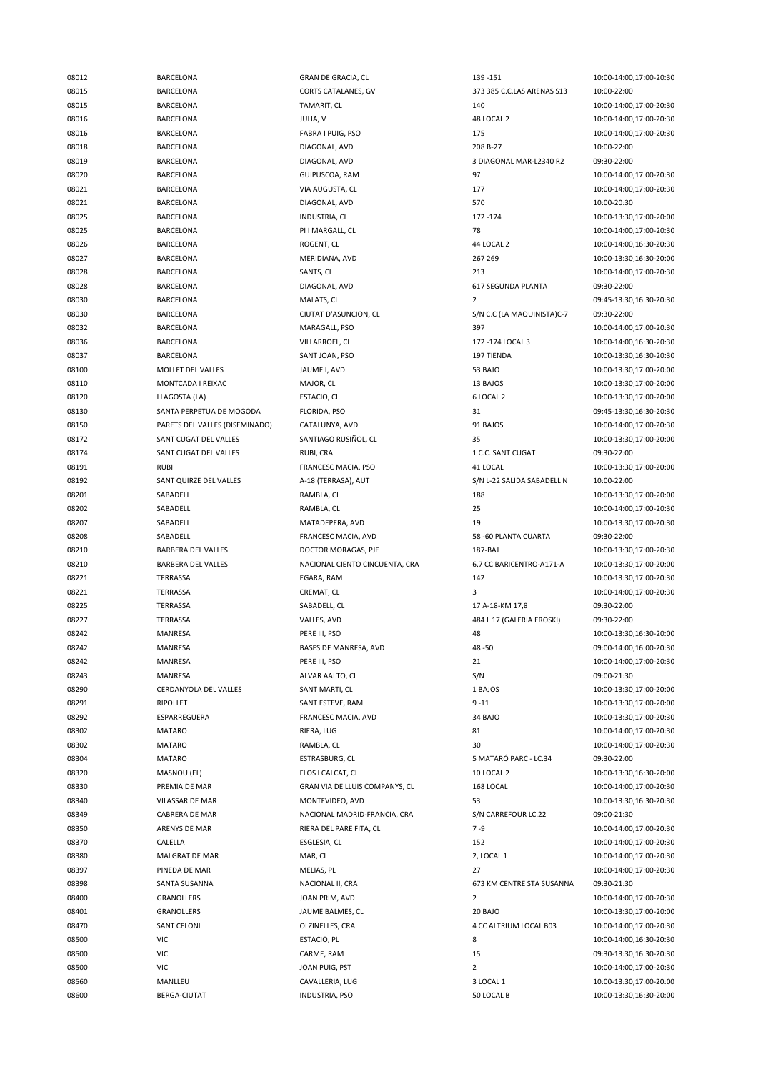08015 BARCELONA CORTS CATALANES, GV 373 385 C.C.LAS ARENAS S13 10:00-22:00 08015 BARCELONA TAMARIT, CL 140 10:00-14:00,17:00-20:30 08016 BARCELONA JULIA, V 48 LOCAL 2 10:00-14:00,17:00-20:30 08016 BARCELONA FABRA I PUIG, PSO 175 175 10:00-14:00,17:00-20:30 08018 BARCELONA DIAGONAL, AVD 208 B-27 10:00-22:00 08019 BARCELONA DIAGONAL, AVD 3 DIAGONAL MAR-L2340 R2 09:30-22:00 08020 BARCELONA GUIPUSCOA, RAM 97 10:00-14:00,17:00-20:30 08021 BARCELONA VIA AUGUSTA, CL 177 10:00-14:00,17:00-20:30 08021 BARCELONA DIAGONAL, AVD 570 10:00-20:30 08025 BARCELONA INDUSTRIA, CL 172 -174 10:00-13:30.17:00-20:00 08025 BARCELONA PI I MARGALL, CL 78 10:00-14:00,17:00-20:30 08026 BARCELONA ROGENT, CL 44 LOCAL 2 10:00-14:00,16:30-20:30 08027 BARCELONA MERIDIANA, AVD 267 269 10:00-13:30,16:30-20:00 08028 BARCELONA SANTS, CL 213 10:00-14:00,17:00-20:30 08028 BARCELONA DIAGONAL, AVD 617 SEGUNDA PLANTA 09:30-22:00 08030 BARCELONA MALATS, CL 2 09:45-13:30,16:30-20:30 08030 BARCELONA CIUTAT D'ASUNCION, CL S/N C.C (LA MAQUINISTA)C-7 09:30-22:00 08032 BARCELONA MARAGALL, PSO 397 10:00-14:00,17:00-20:30 08036 BARCELONA VILLARROEL, CL 172 -174 LOCAL 3 10:00-14:00,16:30-20:30 08037 BARCELONA SANT JOAN, PSO 197 TIENDA 10:00-13:30,16:30-20:30 08100 MOLLET DEL VALLES JAUME I, AVD 53 BAJO 10:00-13:30,17:00-20:00 08110 MONTCADA I REIXAC MAJOR, CL 13 BAJOS 10:00-13:30,17:00-20:00 08120 LLAGOSTA (LA) ESTACIO, CL 6 LOCAL 2 10:00-13:30,17:00-20:00 08130 SANTA PERPETUA DE MOGODA FLORIDA, PSO 31 09:45-13:30,16:30-20:30 08150 PARETS DEL VALLES (DISEMINADO) CATALUNYA, AVD 91 BAJOS 10:00-14:00,17:00-20:30 08172 SANT CUGAT DEL VALLES SANTIAGO RUSIÑOL, CL 35 10:00-13:30,17:00-20:00 08174 SANT CUGAT DEL VALLES RUBI, CRA 1 C.C. SANT CUGAT 09:30-22:00 08191 RUBI FRANCESC MACIA, PSO 41 LOCAL 10:00-13:30,17:00-20:00 08192 SANT QUIRZE DEL VALLES A-18 (TERRASA), AUT S/N L-22 SALIDA SABADELL N 10:00-22:00 08201 SABADELL RAMBLA, CL 188 10:00-13:30,17:00-20:00 08202 SABADELL RAMBLA, CL 25 10:00-14:00,17:00-20:30 08207 SABADELL MATADEPERA, AVD 19 10:00-13:30,17:00-20:30 08208 SABADELL FRANCESC MACIA, AVD 58 -60 PLANTA CUARTA 09:30-22:00 08210 BARBERA DEL VALLES DOCTOR MORAGAS, PJE 187-BAJ 10:00-13:30,17:00-20:30 08210 BARBERA DEL VALLES NACIONAL CIENTO CINCUENTA, CRA 6,7 CC BARICENTRO-A171-A 10:00-13:30,17:00-20:00 08221 TERRASSA EGARA, RAM 142 10:00-13:30,17:00-20:30 08221 TERRASSA CREMAT, CL 3 10:00-14:00,17:00-20:30 08225 TERRASSA SABADELL, CL 17 A-18-KM 17,8 09:30-22:00 08227 TERRASSA VALLES, AVD 484 L 17 (GALERIA EROSKI) 09:30-22:00 08242 MANRESA PERE III, PSO 48 10:00-13:30,16:30-20:00 08242 MANRESA BASES DE MANRESA, AVD 48 -50 09:00-14:00,16:00-20:30 08242 MANRESA PERE III, PSO 21 10:00-14:00,17:00-20:30 08243 MANRESA MANRESA ALVAR AALTO, CL S/N S/N 09:00-21:30 08290 CERDANYOLA DEL VALLES SANT MARTI, CL 1 BAJOS 10:00-13:30,17:00-20:00 08291 RIPOLLET SANT ESTEVE, RAM 9-11 99-11 10:00-13:30,17:00-20:00 08292 ESPARREGUERA FRANCESC MACIA, AVD 34 BAJO 10:00-13:30,17:00-20:30 08302 MATARO RIERA, LUG 81 10:00-14:00,17:00-20:30 08302 MATARO RAMBLA, CL 30 10:00-14:00,17:00-20:30 08304 MATARO ESTRASBURG, CL 5 MATARÓ PARC - LC.34 09:30-22:00 08320 MASNOU (EL) FLOS I CALCAT, CL 10 LOCAL 2 10:00-13:30,16:30-20:00 08330 PREMIA DE MAR GRAN VIA DE LLUIS COMPANYS, CL 168 LOCAL 10:00-14:00,17:00-20:30 08340 VILASSAR DE MAR MONTEVIDEO, AVD 53 10:00-13:30,16:30-20:30 08349 CABRERA DE MAR NACIONAL MADRID-FRANCIA, CRA S/N CARREFOUR LC.22 09:00-21:30 08350 ARENYS DE MAR RIERA DEL PARE FITA, CL 7-9 79 10:00-14:00,17:00-20:30 08370 CALELLA ESGLESIA, CL 152 10:00-14:00,17:00-20:30 08380 MALGRAT DE MAR MAR, CL 2, LOCAL 1 10:00-14:00,17:00-20:30 08397 PINEDA DE MAR MELIAS, PL 27 10:00-14:00,17:00-20:30 08398 SANTA SUSANNA NACIONAL II, CRA 673 KM CENTRE STA SUSANNA 09:30-21:30 08400 GRANOLLERS JOAN PRIM, AVD 2 10:00-14:00,17:00-20:30 08401 GRANOLLERS JAUME BALMES, CL 20 BAJO 10:00-13:30,17:00-20:00 08470 SANT CELONI SANT COLZINELLES, CRA 4 CC ALTRIUM LOCAL B03 10:00-14:00,17:00-20:30 08500 VIC ESTACIO, PL 8 10:00-14:00,16:30-20:30 08500 VIC CARME, RAM 15 09:30-13:30,16:30-20:30 08500 VIC JOAN PUIG, PST 2 10:00-14:00,17:00-20:30 08560 MANLLEU CAVALLERIA, LUG 3 LOCAL 1 10:00-13:30.17:00-20:00 08600 BERGA-CIUTAT INDUSTRIA, PSO 50 LOCAL B 10:00-13:30,16:30-20:00

08012 BARCELONA GRAN DE GRACIA, CL 139 -151 10:00-14:00,17:00-20:30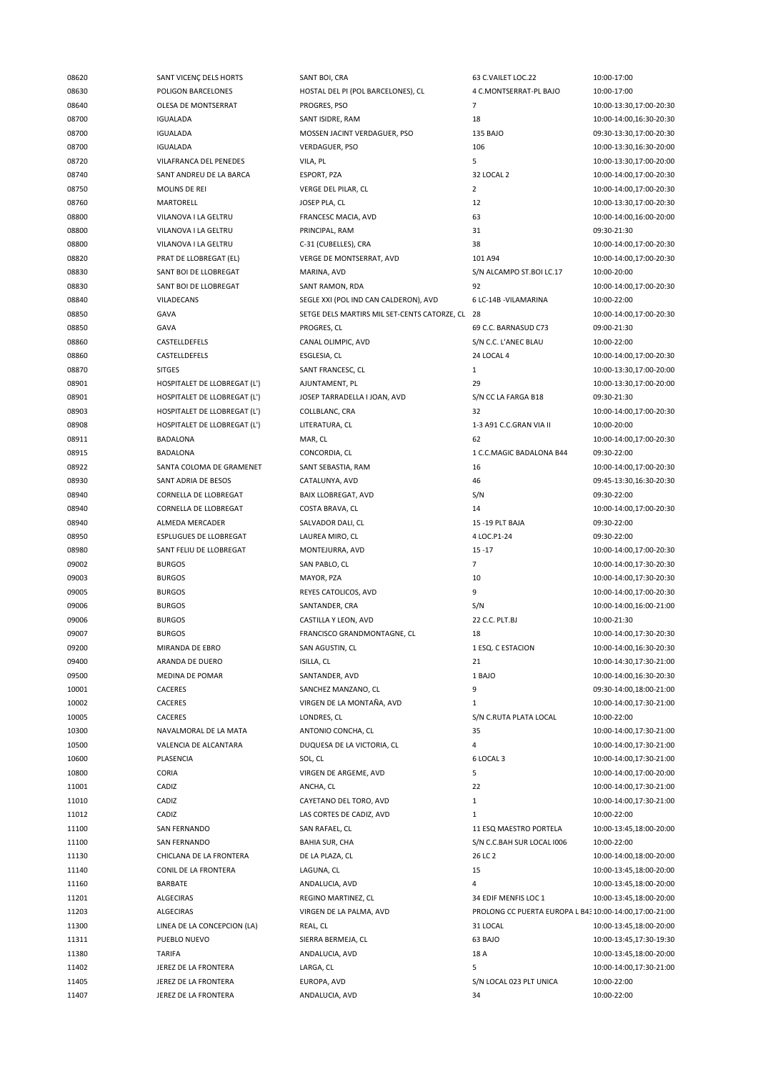| 08620 | SANT VICENÇ DELS HORTS        | SANT BOI, CRA                                   | 63 C.VAILET LOC.22                                     | 10:00-17:00             |
|-------|-------------------------------|-------------------------------------------------|--------------------------------------------------------|-------------------------|
| 08630 | POLIGON BARCELONES            | HOSTAL DEL PI (POL BARCELONES), CL              | 4 C.MONTSERRAT-PL BAJO                                 | 10:00-17:00             |
| 08640 | OLESA DE MONTSERRAT           | PROGRES, PSO                                    | $\overline{7}$                                         | 10:00-13:30,17:00-20:30 |
| 08700 | <b>IGUALADA</b>               | SANT ISIDRE, RAM                                | 18                                                     | 10:00-14:00,16:30-20:30 |
| 08700 | <b>IGUALADA</b>               | MOSSEN JACINT VERDAGUER, PSO                    | <b>135 BAJO</b>                                        | 09:30-13:30,17:00-20:30 |
| 08700 | <b>IGUALADA</b>               | <b>VERDAGUER, PSO</b>                           | 106                                                    | 10:00-13:30,16:30-20:00 |
| 08720 | VILAFRANCA DEL PENEDES        | VILA, PL                                        | 5                                                      | 10:00-13:30,17:00-20:00 |
| 08740 | SANT ANDREU DE LA BARCA       | ESPORT, PZA                                     | 32 LOCAL 2                                             | 10:00-14:00,17:00-20:30 |
| 08750 | MOLINS DE REI                 | VERGE DEL PILAR, CL                             | $\overline{2}$                                         | 10:00-14:00,17:00-20:30 |
|       |                               |                                                 |                                                        |                         |
| 08760 | MARTORELL                     | JOSEP PLA, CL                                   | 12                                                     | 10:00-13:30,17:00-20:30 |
| 08800 | VILANOVA I LA GELTRU          | FRANCESC MACIA, AVD                             | 63                                                     | 10:00-14:00,16:00-20:00 |
| 08800 | VILANOVA I LA GELTRU          | PRINCIPAL, RAM                                  | 31                                                     | 09:30-21:30             |
| 08800 | VILANOVA I LA GELTRU          | C-31 (CUBELLES), CRA                            | 38                                                     | 10:00-14:00,17:00-20:30 |
| 08820 | PRAT DE LLOBREGAT (EL)        | VERGE DE MONTSERRAT, AVD                        | 101 A94                                                | 10:00-14:00,17:00-20:30 |
| 08830 | SANT BOI DE LLOBREGAT         | MARINA, AVD                                     | S/N ALCAMPO ST.BOI LC.17                               | 10:00-20:00             |
| 08830 | SANT BOI DE LLOBREGAT         | SANT RAMON, RDA                                 | 92                                                     | 10:00-14:00,17:00-20:30 |
| 08840 | VILADECANS                    | SEGLE XXI (POL IND CAN CALDERON), AVD           | 6 LC-14B - VILAMARINA                                  | 10:00-22:00             |
| 08850 | GAVA                          | SETGE DELS MARTIRS MIL SET-CENTS CATORZE, CL 28 |                                                        | 10:00-14:00,17:00-20:30 |
| 08850 | GAVA                          | PROGRES, CL                                     | 69 C.C. BARNASUD C73                                   | 09:00-21:30             |
| 08860 | CASTELLDEFELS                 | CANAL OLIMPIC, AVD                              | S/N C.C. L'ANEC BLAU                                   | 10:00-22:00             |
| 08860 | CASTELLDEFELS                 | ESGLESIA, CL                                    | 24 LOCAL 4                                             | 10:00-14:00,17:00-20:30 |
| 08870 | <b>SITGES</b>                 | SANT FRANCESC, CL                               | $\mathbf{1}$                                           | 10:00-13:30,17:00-20:00 |
| 08901 | HOSPITALET DE LLOBREGAT (L')  | AJUNTAMENT, PL                                  | 29                                                     | 10:00-13:30,17:00-20:00 |
| 08901 |                               | JOSEP TARRADELLA I JOAN, AVD                    | S/N CC LA FARGA B18                                    | 09:30-21:30             |
|       | HOSPITALET DE LLOBREGAT (L')  |                                                 |                                                        |                         |
| 08903 | HOSPITALET DE LLOBREGAT (L')  | COLLBLANC, CRA                                  | 32                                                     | 10:00-14:00,17:00-20:30 |
| 08908 | HOSPITALET DE LLOBREGAT (L')  | LITERATURA, CL                                  | 1-3 A91 C.C.GRAN VIA II                                | 10:00-20:00             |
| 08911 | <b>BADALONA</b>               | MAR, CL                                         | 62                                                     | 10:00-14:00,17:00-20:30 |
| 08915 | <b>BADALONA</b>               | CONCORDIA, CL                                   | 1 C.C.MAGIC BADALONA B44                               | 09:30-22:00             |
| 08922 | SANTA COLOMA DE GRAMENET      | SANT SEBASTIA, RAM                              | 16                                                     | 10:00-14:00,17:00-20:30 |
| 08930 | SANT ADRIA DE BESOS           | CATALUNYA, AVD                                  | 46                                                     | 09:45-13:30,16:30-20:30 |
| 08940 | CORNELLA DE LLOBREGAT         | BAIX LLOBREGAT, AVD                             | S/N                                                    | 09:30-22:00             |
| 08940 | CORNELLA DE LLOBREGAT         | COSTA BRAVA, CL                                 | 14                                                     | 10:00-14:00,17:00-20:30 |
| 08940 | ALMEDA MERCADER               | SALVADOR DALI, CL                               | 15 -19 PLT BAJA                                        | 09:30-22:00             |
| 08950 | <b>ESPLUGUES DE LLOBREGAT</b> | LAUREA MIRO, CL                                 | 4 LOC.P1-24                                            | 09:30-22:00             |
| 08980 | SANT FELIU DE LLOBREGAT       | MONTEJURRA, AVD                                 | $15 - 17$                                              | 10:00-14:00,17:00-20:30 |
| 09002 | <b>BURGOS</b>                 | SAN PABLO, CL                                   | $\overline{7}$                                         | 10:00-14:00,17:30-20:30 |
| 09003 | <b>BURGOS</b>                 | MAYOR, PZA                                      | 10                                                     | 10:00-14:00,17:30-20:30 |
| 09005 | <b>BURGOS</b>                 | REYES CATOLICOS, AVD                            | 9                                                      | 10:00-14:00,17:00-20:30 |
| 09006 | <b>BURGOS</b>                 | SANTANDER, CRA                                  | S/N                                                    | 10:00-14:00,16:00-21:00 |
| 09006 | <b>BURGOS</b>                 | CASTILLA Y LEON, AVD                            | 22 C.C. PLT.BJ                                         | 10:00-21:30             |
| 09007 | <b>BURGOS</b>                 | FRANCISCO GRANDMONTAGNE, CL                     | 18                                                     | 10:00-14:00,17:30-20:30 |
|       |                               |                                                 |                                                        |                         |
| 09200 | MIRANDA DE EBRO               | SAN AGUSTIN, CL                                 | 1 ESQ. C ESTACION                                      | 10:00-14:00,16:30-20:30 |
| 09400 | ARANDA DE DUERO               | ISILLA, CL                                      | 21                                                     | 10:00-14:30,17:30-21:00 |
| 09500 | MEDINA DE POMAR               | SANTANDER, AVD                                  | 1 BAJO                                                 | 10:00-14:00,16:30-20:30 |
| 10001 | CACERES                       | SANCHEZ MANZANO, CL                             | 9                                                      | 09:30-14:00,18:00-21:00 |
| 10002 | CACERES                       | VIRGEN DE LA MONTAÑA, AVD                       | $\mathbf{1}$                                           | 10:00-14:00,17:30-21:00 |
| 10005 | CACERES                       | LONDRES, CL                                     | S/N C.RUTA PLATA LOCAL                                 | 10:00-22:00             |
| 10300 | NAVALMORAL DE LA MATA         | ANTONIO CONCHA, CL                              | 35                                                     | 10:00-14:00,17:30-21:00 |
| 10500 | VALENCIA DE ALCANTARA         | DUQUESA DE LA VICTORIA, CL                      | 4                                                      | 10:00-14:00,17:30-21:00 |
| 10600 | PLASENCIA                     | SOL, CL                                         | 6 LOCAL 3                                              | 10:00-14:00,17:30-21:00 |
| 10800 | CORIA                         | VIRGEN DE ARGEME, AVD                           | 5                                                      | 10:00-14:00,17:00-20:00 |
| 11001 | CADIZ                         | ANCHA, CL                                       | 22                                                     | 10:00-14:00,17:30-21:00 |
| 11010 | CADIZ                         | CAYETANO DEL TORO, AVD                          | $\mathbf{1}$                                           | 10:00-14:00,17:30-21:00 |
| 11012 | CADIZ                         | LAS CORTES DE CADIZ, AVD                        | $\mathbf{1}$                                           | 10:00-22:00             |
| 11100 | <b>SAN FERNANDO</b>           | SAN RAFAEL, CL                                  | 11 ESQ MAESTRO PORTELA                                 | 10:00-13:45,18:00-20:00 |
| 11100 | SAN FERNANDO                  | <b>BAHIA SUR, CHA</b>                           | S/N C.C.BAH SUR LOCAL 1006                             | 10:00-22:00             |
| 11130 | CHICLANA DE LA FRONTERA       | DE LA PLAZA, CL                                 | 26 LC 2                                                | 10:00-14:00,18:00-20:00 |
|       |                               |                                                 |                                                        |                         |
| 11140 | CONIL DE LA FRONTERA          | LAGUNA, CL                                      | 15                                                     | 10:00-13:45,18:00-20:00 |
| 11160 | BARBATE                       | ANDALUCIA, AVD                                  | 4                                                      | 10:00-13:45,18:00-20:00 |
| 11201 | <b>ALGECIRAS</b>              | REGINO MARTINEZ, CL                             | 34 EDIF MENFIS LOC 1                                   | 10:00-13:45,18:00-20:00 |
| 11203 | ALGECIRAS                     | VIRGEN DE LA PALMA, AVD                         | PROLONG CC PUERTA EUROPA L B4: 10:00-14:00,17:00-21:00 |                         |
| 11300 | LINEA DE LA CONCEPCION (LA)   | REAL, CL                                        | 31 LOCAL                                               | 10:00-13:45,18:00-20:00 |
| 11311 | PUEBLO NUEVO                  | SIERRA BERMEJA, CL                              | 63 BAJO                                                | 10:00-13:45,17:30-19:30 |
|       |                               |                                                 |                                                        |                         |
| 11380 | TARIFA                        | ANDALUCIA, AVD                                  | 18 A                                                   | 10:00-13:45,18:00-20:00 |
| 11402 | JEREZ DE LA FRONTERA          | LARGA, CL                                       | 5                                                      | 10:00-14:00,17:30-21:00 |
| 11405 | JEREZ DE LA FRONTERA          | EUROPA, AVD                                     | S/N LOCAL 023 PLT UNICA                                | 10:00-22:00             |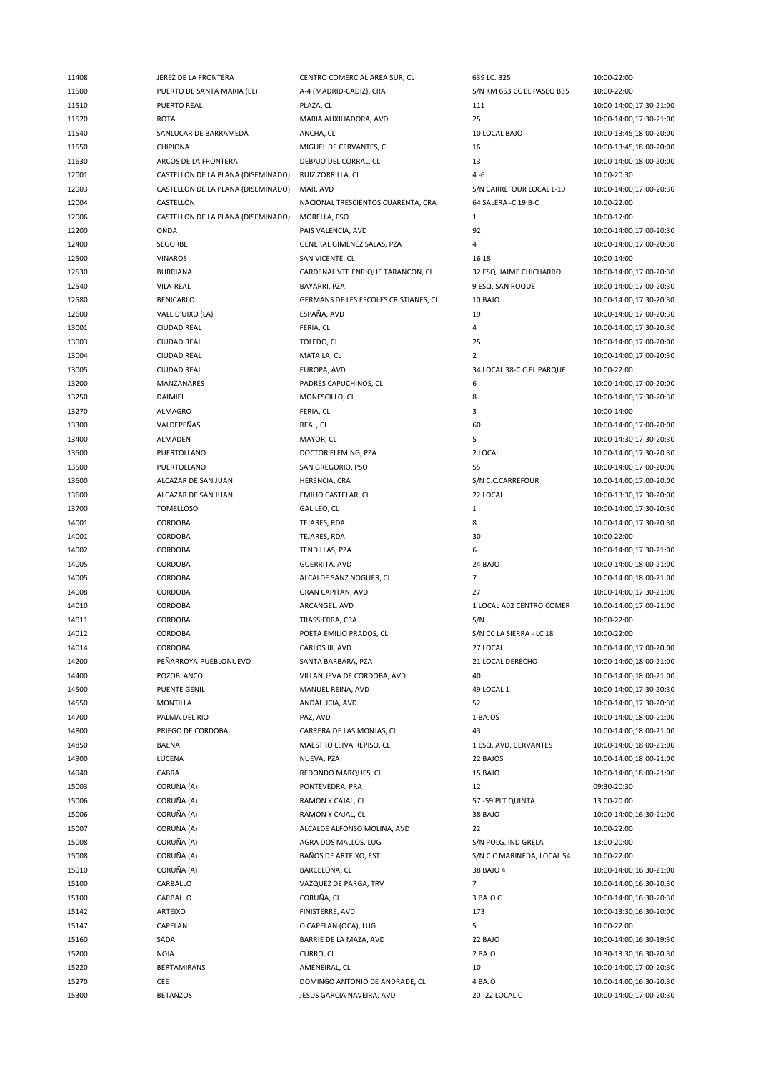| 11408 | JEREZ DE LA FRONTERA               | CENTRO COMERCIAL AREA SUR, CL         | 639 LC. B25                | 10:00-22:00             |
|-------|------------------------------------|---------------------------------------|----------------------------|-------------------------|
| 11500 | PUERTO DE SANTA MARIA (EL)         | A-4 (MADRID-CADIZ), CRA               | S/N KM 653 CC EL PASEO B35 | 10:00-22:00             |
| 11510 | PUERTO REAL                        | PLAZA, CL                             | 111                        | 10:00-14:00,17:30-21:00 |
| 11520 | <b>ROTA</b>                        | MARIA AUXILIADORA, AVD                | 25                         | 10:00-14:00,17:30-21:00 |
| 11540 | SANLUCAR DE BARRAMEDA              | ANCHA, CL                             | 10 LOCAL BAJO              | 10:00-13:45,18:00-20:00 |
| 11550 | <b>CHIPIONA</b>                    | MIGUEL DE CERVANTES, CL               | 16                         | 10:00-13:45,18:00-20:00 |
| 11630 | ARCOS DE LA FRONTERA               | DEBAJO DEL CORRAL, CL                 | 13                         | 10:00-14:00,18:00-20:00 |
| 12001 | CASTELLON DE LA PLANA (DISEMINADO) | RUIZ ZORRILLA, CL                     | $4 - 6$                    | 10:00-20:30             |
| 12003 | CASTELLON DE LA PLANA (DISEMINADO) | MAR, AVD                              | S/N CARREFOUR LOCAL L-10   | 10:00-14:00,17:00-20:30 |
| 12004 | CASTELLON                          | NACIONAL TRESCIENTOS CUARENTA, CRA    | 64 SALERA -C 19 B-C        | 10:00-22:00             |
| 12006 | CASTELLON DE LA PLANA (DISEMINADO) | MORELLA, PSO                          | $\mathbf{1}$               | 10:00-17:00             |
| 12200 | ONDA                               | PAIS VALENCIA, AVD                    | 92                         | 10:00-14:00,17:00-20:30 |
| 12400 | SEGORBE                            | GENERAL GIMENEZ SALAS, PZA            | 4                          | 10:00-14:00,17:00-20:30 |
| 12500 | <b>VINAROS</b>                     | SAN VICENTE, CL                       | 16 18                      | 10:00-14:00             |
| 12530 | <b>BURRIANA</b>                    | CARDENAL VTE ENRIQUE TARANCON, CL     | 32 ESQ. JAIME CHICHARRO    | 10:00-14:00,17:00-20:30 |
| 12540 | VILA-REAL                          | BAYARRI, PZA                          | 9 ESQ. SAN ROQUE           | 10:00-14:00,17:00-20:30 |
| 12580 | <b>BENICARLO</b>                   | GERMANS DE LES ESCOLES CRISTIANES, CL | 10 BAJO                    | 10:00-14:00,17:30-20:30 |
| 12600 | VALL D'UIXO (LA)                   | ESPAÑA, AVD                           | 19                         | 10:00-14:00,17:00-20:30 |
| 13001 | <b>CIUDAD REAL</b>                 | FERIA, CL                             | 4                          | 10:00-14:00,17:30-20:30 |
| 13003 | <b>CIUDAD REAL</b>                 | TOLEDO, CL                            | 25                         | 10:00-14:00,17:00-20:00 |
| 13004 | <b>CIUDAD REAL</b>                 | MATA LA, CL                           | $\overline{2}$             | 10:00-14:00,17:00-20:30 |
| 13005 | <b>CIUDAD REAL</b>                 | EUROPA, AVD                           | 34 LOCAL 38-C.C.EL PARQUE  | 10:00-22:00             |
| 13200 | <b>MANZANARES</b>                  | PADRES CAPUCHINOS, CL                 | 6                          | 10:00-14:00,17:00-20:00 |
| 13250 | DAIMIEL                            | MONESCILLO, CL                        | 8                          | 10:00-14:00,17:30-20:30 |
| 13270 | ALMAGRO                            | FERIA, CL                             | 3                          | 10:00-14:00             |
| 13300 | VALDEPEÑAS                         | REAL, CL                              | 60                         | 10:00-14:00,17:00-20:00 |
| 13400 | <b>ALMADEN</b>                     | MAYOR, CL                             | 5                          | 10:00-14:30,17:30-20:30 |
| 13500 | PUERTOLLANO                        | DOCTOR FLEMING, PZA                   | 2 LOCAL                    | 10:00-14:00,17:30-20:30 |
| 13500 | PUERTOLLANO                        | SAN GREGORIO, PSO                     | 55                         | 10:00-14:00,17:00-20:00 |
| 13600 | ALCAZAR DE SAN JUAN                | HERENCIA, CRA                         | S/N C.C.CARREFOUR          | 10:00-14:00,17:00-20:00 |
| 13600 | ALCAZAR DE SAN JUAN                | EMILIO CASTELAR, CL                   | 22 LOCAL                   | 10:00-13:30,17:30-20:00 |
| 13700 | <b>TOMELLOSO</b>                   | GALILEO, CL                           | $\mathbf{1}$               | 10:00-14:00,17:30-20:30 |
| 14001 | CORDOBA                            | TEJARES, RDA                          | 8                          | 10:00-14:00,17:30-20:30 |
| 14001 | CORDOBA                            | TEJARES, RDA                          | 30                         | 10:00-22:00             |
| 14002 | CORDOBA                            | TENDILLAS, PZA                        | 6                          | 10:00-14:00,17:30-21:00 |
| 14005 | CORDOBA                            | GUERRITA, AVD                         | 24 BAJO                    | 10:00-14:00,18:00-21:00 |
| 14005 | CORDOBA                            | ALCALDE SANZ NOGUER, CL               | $\overline{7}$             | 10:00-14:00,18:00-21:00 |
| 14008 | CORDOBA                            | <b>GRAN CAPITAN, AVD</b>              | 27                         | 10:00-14:00,17:30-21:00 |
| 14010 | CORDOBA                            | ARCANGEL, AVD                         | 1 LOCAL A02 CENTRO COMER   | 10:00-14:00,17:00-21:00 |
| 14011 | CORDOBA                            | TRASSIERRA, CRA                       | S/N                        | 10:00-22:00             |
| 14012 | CORDOBA                            | POETA EMILIO PRADOS, CL               | S/N CC LA SIERRA - LC 18   | 10:00-22:00             |
| 14014 | CORDOBA                            | CARLOS III, AVD                       | 27 LOCAL                   | 10:00-14:00,17:00-20:00 |
| 14200 | PEÑARROYA-PUEBLONUEVO              | SANTA BARBARA, PZA                    | 21 LOCAL DERECHO           | 10:00-14:00,18:00-21:00 |
| 14400 | POZOBLANCO                         | VILLANUEVA DE CORDOBA, AVD            | 40                         | 10:00-14:00,18:00-21:00 |
| 14500 | <b>PUENTE GENIL</b>                | MANUEL REINA, AVD                     | 49 LOCAL 1                 | 10:00-14:00,17:30-20:30 |
| 14550 | <b>MONTILLA</b>                    | ANDALUCIA, AVD                        | 52                         | 10:00-14:00,17:30-20:30 |
| 14700 | PALMA DEL RIO                      | PAZ, AVD                              | 1 BAJOS                    | 10:00-14:00,18:00-21:00 |
| 14800 | PRIEGO DE CORDOBA                  | CARRERA DE LAS MONJAS, CL             | 43                         | 10:00-14:00,18:00-21:00 |
| 14850 | <b>BAENA</b>                       | MAESTRO LEIVA REPISO, CL              | 1 ESQ. AVD. CERVANTES      | 10:00-14:00,18:00-21:00 |
| 14900 | LUCENA                             | NUEVA, PZA                            | 22 BAJOS                   | 10:00-14:00,18:00-21:00 |
| 14940 | CABRA                              | REDONDO MARQUES, CL                   | 15 BAJO                    | 10:00-14:00,18:00-21:00 |
| 15003 | CORUÑA (A)                         | PONTEVEDRA, PRA                       | 12                         | 09:30-20:30             |
| 15006 | CORUÑA (A)                         | RAMON Y CAJAL, CL                     | 57-59 PLT QUINTA           | 13:00-20:00             |
| 15006 | CORUÑA (A)                         | RAMON Y CAJAL, CL                     | 38 BAJO                    | 10:00-14:00,16:30-21:00 |
| 15007 | CORUÑA (A)                         | ALCALDE ALFONSO MOLINA, AVD           | 22                         | 10:00-22:00             |
| 15008 | CORUÑA (A)                         | AGRA DOS MALLOS, LUG                  | S/N POLG. IND GRELA        | 13:00-20:00             |
| 15008 | CORUÑA (A)                         | BAÑOS DE ARTEIXO, EST                 | S/N C.C.MARINEDA, LOCAL 54 | 10:00-22:00             |
| 15010 | CORUÑA (A)                         | BARCELONA, CL                         | 38 BAJO 4                  | 10:00-14:00,16:30-21:00 |
| 15100 | CARBALLO                           | VAZQUEZ DE PARGA, TRV                 | $\overline{7}$             | 10:00-14:00,16:30-20:30 |
| 15100 | CARBALLO                           | CORUÑA, CL                            | 3 BAJO C                   | 10:00-14:00,16:30-20:30 |
| 15142 | ARTEIXO                            | FINISTERRE, AVD                       | 173                        | 10:00-13:30,16:30-20:00 |
| 15147 | CAPELAN                            | O CAPELAN (OCA), LUG                  | 5                          | 10:00-22:00             |
| 15160 | SADA                               | BARRIE DE LA MAZA, AVD                | 22 BAJO                    | 10:00-14:00,16:30-19:30 |
| 15200 | <b>NOIA</b>                        | CURRO, CL                             | 2 BAJO                     | 10:30-13:30,16:30-20:30 |
| 15220 | <b>BERTAMIRANS</b>                 | AMENEIRAL, CL                         | 10                         | 10:00-14:00,17:00-20:30 |
| 15270 | CEE                                | DOMINGO ANTONIO DE ANDRADE, CL        | 4 BAJO                     | 10:00-14:00,16:30-20:30 |
| 15300 | <b>BETANZOS</b>                    | JESUS GARCIA NAVEIRA, AVD             | 20 - 22 LOCAL C            | 10:00-14:00,17:00-20:30 |
|       |                                    |                                       |                            |                         |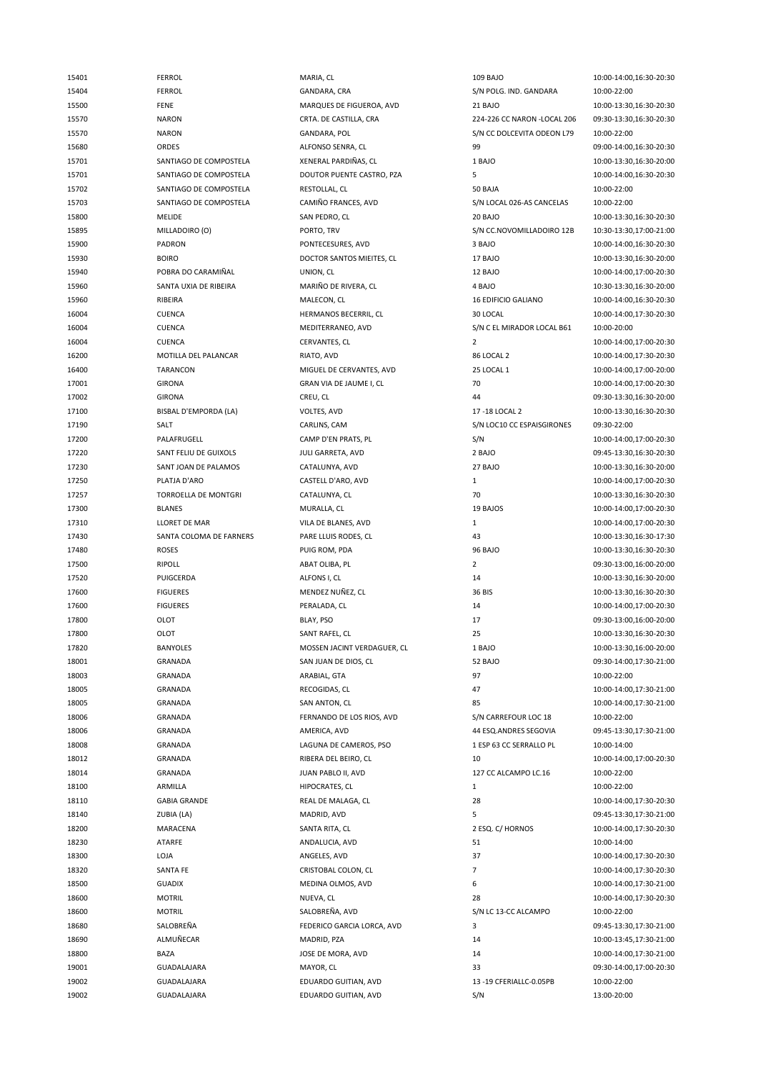| 15401 | <b>FERROL</b>           | MARIA, CL                   | 109 BAJO                     | 10:00-14:00,16:30-20:30 |
|-------|-------------------------|-----------------------------|------------------------------|-------------------------|
| 15404 | <b>FERROL</b>           | GANDARA, CRA                | S/N POLG. IND. GANDARA       | 10:00-22:00             |
| 15500 | <b>FENE</b>             | MARQUES DE FIGUEROA, AVD    | 21 BAJO                      | 10:00-13:30,16:30-20:30 |
| 15570 | <b>NARON</b>            | CRTA. DE CASTILLA, CRA      | 224-226 CC NARON - LOCAL 206 | 09:30-13:30,16:30-20:30 |
| 15570 | <b>NARON</b>            | GANDARA, POL                | S/N CC DOLCEVITA ODEON L79   | 10:00-22:00             |
| 15680 | ORDES                   | ALFONSO SENRA, CL           | 99                           | 09:00-14:00,16:30-20:30 |
| 15701 | SANTIAGO DE COMPOSTELA  | XENERAL PARDIÑAS, CL        | 1 BAJO                       | 10:00-13:30,16:30-20:00 |
| 15701 | SANTIAGO DE COMPOSTELA  | DOUTOR PUENTE CASTRO, PZA   | 5                            | 10:00-14:00,16:30-20:30 |
|       |                         |                             | 50 BAJA                      |                         |
| 15702 | SANTIAGO DE COMPOSTELA  | RESTOLLAL, CL               |                              | 10:00-22:00             |
| 15703 | SANTIAGO DE COMPOSTELA  | CAMIÑO FRANCES, AVD         | S/N LOCAL 026-AS CANCELAS    | 10:00-22:00             |
| 15800 | <b>MELIDE</b>           | SAN PEDRO, CL               | 20 BAJO                      | 10:00-13:30,16:30-20:30 |
| 15895 | MILLADOIRO (O)          | PORTO, TRV                  | S/N CC.NOVOMILLADOIRO 12B    | 10:30-13:30,17:00-21:00 |
| 15900 | PADRON                  | PONTECESURES, AVD           | 3 BAJO                       | 10:00-14:00,16:30-20:30 |
| 15930 | <b>BOIRO</b>            | DOCTOR SANTOS MIEITES, CL   | 17 BAJO                      | 10:00-13:30,16:30-20:00 |
| 15940 | POBRA DO CARAMIÑAL      | UNION, CL                   | 12 BAJO                      | 10:00-14:00,17:00-20:30 |
| 15960 | SANTA UXIA DE RIBEIRA   | MARIÑO DE RIVERA, CL        | 4 BAJO                       | 10:30-13:30,16:30-20:00 |
| 15960 | RIBEIRA                 | MALECON, CL                 | <b>16 EDIFICIO GALIANO</b>   | 10:00-14:00,16:30-20:30 |
| 16004 | <b>CUENCA</b>           | HERMANOS BECERRIL, CL       | 30 LOCAL                     | 10:00-14:00,17:30-20:30 |
| 16004 | <b>CUENCA</b>           | MEDITERRANEO, AVD           | S/N C EL MIRADOR LOCAL B61   | 10:00-20:00             |
| 16004 | <b>CUENCA</b>           | CERVANTES, CL               | $\overline{2}$               | 10:00-14:00,17:00-20:30 |
| 16200 | MOTILLA DEL PALANCAR    | RIATO, AVD                  | 86 LOCAL 2                   | 10:00-14:00,17:30-20:30 |
| 16400 | TARANCON                | MIGUEL DE CERVANTES, AVD    | 25 LOCAL 1                   | 10:00-14:00,17:00-20:00 |
| 17001 | <b>GIRONA</b>           | GRAN VIA DE JAUME I, CL     | 70                           | 10:00-14:00,17:00-20:30 |
| 17002 | <b>GIRONA</b>           | CREU, CL                    | 44                           | 09:30-13:30,16:30-20:00 |
| 17100 | BISBAL D'EMPORDA (LA)   | VOLTES, AVD                 | 17-18 LOCAL 2                | 10:00-13:30,16:30-20:30 |
|       | SALT                    |                             | S/N LOC10 CC ESPAISGIRONES   | 09:30-22:00             |
| 17190 |                         | CARLINS, CAM                |                              |                         |
| 17200 | PALAFRUGELL             | CAMP D'EN PRATS, PL         | S/N                          | 10:00-14:00,17:00-20:30 |
| 17220 | SANT FELIU DE GUIXOLS   | JULI GARRETA, AVD           | 2 BAJO                       | 09:45-13:30,16:30-20:30 |
| 17230 | SANT JOAN DE PALAMOS    | CATALUNYA, AVD              | 27 BAJO                      | 10:00-13:30,16:30-20:00 |
| 17250 | PLATJA D'ARO            | CASTELL D'ARO, AVD          | $\mathbf{1}$                 | 10:00-14:00,17:00-20:30 |
| 17257 | TORROELLA DE MONTGRI    | CATALUNYA, CL               | 70                           | 10:00-13:30,16:30-20:30 |
| 17300 | <b>BLANES</b>           | MURALLA, CL                 | 19 BAJOS                     | 10:00-14:00,17:00-20:30 |
| 17310 | <b>LLORET DE MAR</b>    | VILA DE BLANES, AVD         | $1\,$                        | 10:00-14:00,17:00-20:30 |
| 17430 | SANTA COLOMA DE FARNERS | PARE LLUIS RODES, CL        | 43                           | 10:00-13:30,16:30-17:30 |
| 17480 | <b>ROSES</b>            | PUIG ROM, PDA               | 96 BAJO                      | 10:00-13:30,16:30-20:30 |
| 17500 | <b>RIPOLL</b>           | ABAT OLIBA, PL              | $\overline{2}$               | 09:30-13:00,16:00-20:00 |
| 17520 | PUIGCERDA               | ALFONS I, CL                | 14                           | 10:00-13:30,16:30-20:00 |
| 17600 | <b>FIGUERES</b>         | MENDEZ NUÑEZ, CL            | 36 BIS                       | 10:00-13:30,16:30-20:30 |
| 17600 | <b>FIGUERES</b>         | PERALADA, CL                | 14                           | 10:00-14:00,17:00-20:30 |
| 17800 | OLOT                    | BLAY, PSO                   | 17                           | 09:30-13:00,16:00-20:00 |
| 17800 | OLOT                    | SANT RAFEL, CL              | 25                           | 10:00-13:30,16:30-20:30 |
| 17820 | BANYOLES                | MOSSEN JACINT VERDAGUER, CL | 1 BAJO                       | 10:00-13:30,16:00-20:00 |
| 18001 | GRANADA                 | SAN JUAN DE DIOS, CL        | 52 BAJO                      | 09:30-14:00,17:30-21:00 |
| 18003 | <b>GRANADA</b>          | ARABIAL, GTA                | 97                           | 10:00-22:00             |
| 18005 | <b>GRANADA</b>          | RECOGIDAS, CL               | 47                           | 10:00-14:00,17:30-21:00 |
|       |                         |                             |                              |                         |
| 18005 | GRANADA                 | SAN ANTON, CL               | 85                           | 10:00-14:00,17:30-21:00 |
| 18006 | GRANADA                 | FERNANDO DE LOS RIOS, AVD   | S/N CARREFOUR LOC 18         | 10:00-22:00             |
| 18006 | <b>GRANADA</b>          | AMERICA, AVD                | 44 ESQ.ANDRES SEGOVIA        | 09:45-13:30,17:30-21:00 |
| 18008 | GRANADA                 | LAGUNA DE CAMEROS, PSO      | 1 ESP 63 CC SERRALLO PL      | 10:00-14:00             |
| 18012 | GRANADA                 | RIBERA DEL BEIRO, CL        | 10                           | 10:00-14:00,17:00-20:30 |
| 18014 | <b>GRANADA</b>          | JUAN PABLO II, AVD          | 127 CC ALCAMPO LC.16         | 10:00-22:00             |
| 18100 | ARMILLA                 | HIPOCRATES, CL              | $\mathbf{1}$                 | 10:00-22:00             |
| 18110 | <b>GABIA GRANDE</b>     | REAL DE MALAGA, CL          | 28                           | 10:00-14:00,17:30-20:30 |
| 18140 | ZUBIA (LA)              | MADRID, AVD                 | 5                            | 09:45-13:30,17:30-21:00 |
| 18200 | MARACENA                | SANTA RITA, CL              | 2 ESQ. C/ HORNOS             | 10:00-14:00,17:30-20:30 |
| 18230 | ATARFE                  | ANDALUCIA, AVD              | 51                           | 10:00-14:00             |
| 18300 | LOJA                    | ANGELES, AVD                | 37                           | 10:00-14:00,17:30-20:30 |
| 18320 | SANTA FE                | CRISTOBAL COLON, CL         | $\overline{7}$               | 10:00-14:00,17:30-20:30 |
| 18500 | <b>GUADIX</b>           | MEDINA OLMOS, AVD           | 6                            | 10:00-14:00,17:30-21:00 |
| 18600 | <b>MOTRIL</b>           | NUEVA, CL                   | 28                           | 10:00-14:00,17:30-20:30 |
| 18600 | <b>MOTRIL</b>           | SALOBREÑA, AVD              | S/N LC 13-CC ALCAMPO         | 10:00-22:00             |
| 18680 | SALOBREÑA               | FEDERICO GARCIA LORCA, AVD  | 3                            | 09:45-13:30,17:30-21:00 |
|       |                         |                             |                              |                         |
| 18690 | ALMUÑECAR               | MADRID, PZA                 | 14                           | 10:00-13:45,17:30-21:00 |
| 18800 | BAZA                    | JOSE DE MORA, AVD           | 14                           | 10:00-14:00,17:30-21:00 |
| 19001 | GUADALAJARA             | MAYOR, CL                   | 33                           | 09:30-14:00,17:00-20:30 |
| 19002 | GUADALAJARA             | EDUARDO GUITIAN, AVD        | 13 -19 CFERIALLC-0.05PB      | 10:00-22:00             |
| 19002 | GUADALAJARA             | EDUARDO GUITIAN, AVD        | S/N                          | 13:00-20:00             |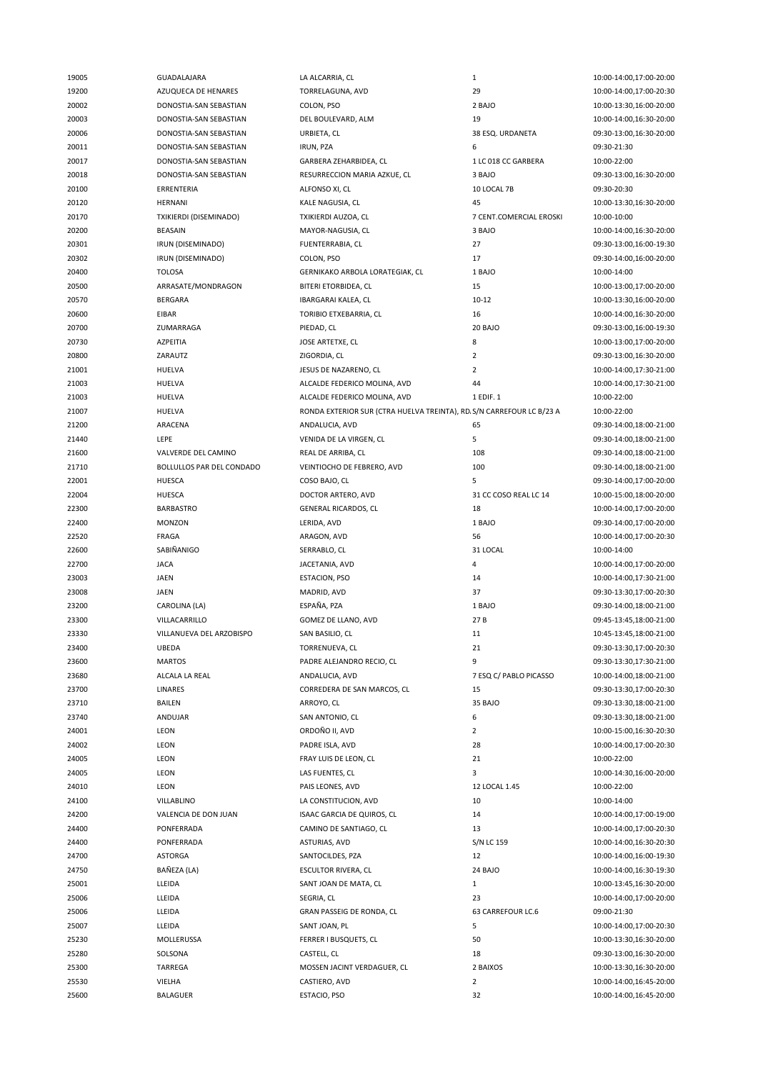| 19005 | GUADALAJARA               | LA ALCARRIA, CL                                                       | $\mathbf{1}$            | 10:00-14:00,17:00-20:00 |
|-------|---------------------------|-----------------------------------------------------------------------|-------------------------|-------------------------|
| 19200 | AZUQUECA DE HENARES       | TORRELAGUNA, AVD                                                      | 29                      | 10:00-14:00,17:00-20:30 |
| 20002 | DONOSTIA-SAN SEBASTIAN    | COLON, PSO                                                            | 2 BAJO                  | 10:00-13:30,16:00-20:00 |
| 20003 | DONOSTIA-SAN SEBASTIAN    | DEL BOULEVARD, ALM                                                    | 19                      | 10:00-14:00,16:30-20:00 |
| 20006 | DONOSTIA-SAN SEBASTIAN    | URBIETA, CL                                                           | 38 ESQ. URDANETA        | 09:30-13:00,16:30-20:00 |
| 20011 | DONOSTIA-SAN SEBASTIAN    | <b>IRUN, PZA</b>                                                      | 6                       | 09:30-21:30             |
| 20017 | DONOSTIA-SAN SEBASTIAN    | GARBERA ZEHARBIDEA, CL                                                | 1 LC 018 CC GARBERA     | 10:00-22:00             |
| 20018 | DONOSTIA-SAN SEBASTIAN    | RESURRECCION MARIA AZKUE, CL                                          | 3 BAJO                  | 09:30-13:00,16:30-20:00 |
| 20100 | ERRENTERIA                | ALFONSO XI, CL                                                        | 10 LOCAL 7B             | 09:30-20:30             |
|       |                           |                                                                       |                         |                         |
| 20120 | <b>HERNANI</b>            | KALE NAGUSIA, CL                                                      | 45                      | 10:00-13:30,16:30-20:00 |
| 20170 | TXIKIERDI (DISEMINADO)    | TXIKIERDI AUZOA, CL                                                   | 7 CENT.COMERCIAL EROSKI | 10:00-10:00             |
| 20200 | <b>BEASAIN</b>            | MAYOR-NAGUSIA, CL                                                     | 3 BAJO                  | 10:00-14:00,16:30-20:00 |
| 20301 | IRUN (DISEMINADO)         | FUENTERRABIA, CL                                                      | 27                      | 09:30-13:00,16:00-19:30 |
| 20302 | IRUN (DISEMINADO)         | COLON, PSO                                                            | 17                      | 09:30-14:00,16:00-20:00 |
| 20400 | <b>TOLOSA</b>             | GERNIKAKO ARBOLA LORATEGIAK, CL                                       | 1 BAJO                  | 10:00-14:00             |
| 20500 | ARRASATE/MONDRAGON        | BITERI ETORBIDEA, CL                                                  | 15                      | 10:00-13:00,17:00-20:00 |
| 20570 | <b>BERGARA</b>            | IBARGARAI KALEA, CL                                                   | $10 - 12$               | 10:00-13:30,16:00-20:00 |
| 20600 | EIBAR                     | TORIBIO ETXEBARRIA, CL                                                | 16                      | 10:00-14:00,16:30-20:00 |
| 20700 | ZUMARRAGA                 | PIEDAD, CL                                                            | 20 BAJO                 | 09:30-13:00,16:00-19:30 |
| 20730 | AZPEITIA                  | JOSE ARTETXE, CL                                                      | 8                       | 10:00-13:00,17:00-20:00 |
| 20800 | ZARAUTZ                   | ZIGORDIA, CL                                                          | $\overline{2}$          | 09:30-13:00,16:30-20:00 |
| 21001 | <b>HUELVA</b>             | JESUS DE NAZARENO, CL                                                 | $\overline{2}$          | 10:00-14:00,17:30-21:00 |
| 21003 | HUELVA                    | ALCALDE FEDERICO MOLINA, AVD                                          | 44                      | 10:00-14:00,17:30-21:00 |
| 21003 | <b>HUELVA</b>             | ALCALDE FEDERICO MOLINA, AVD                                          | 1 EDIF. 1               | 10:00-22:00             |
| 21007 | <b>HUELVA</b>             | RONDA EXTERIOR SUR (CTRA HUELVA TREINTA), RD. S/N CARREFOUR LC B/23 A |                         | 10:00-22:00             |
| 21200 | ARACENA                   | ANDALUCIA, AVD                                                        | 65                      | 09:30-14:00,18:00-21:00 |
| 21440 | LEPE                      | VENIDA DE LA VIRGEN, CL                                               | 5                       | 09:30-14:00,18:00-21:00 |
|       |                           |                                                                       |                         |                         |
| 21600 | VALVERDE DEL CAMINO       | REAL DE ARRIBA, CL                                                    | 108                     | 09:30-14:00,18:00-21:00 |
| 21710 | BOLLULLOS PAR DEL CONDADO | VEINTIOCHO DE FEBRERO, AVD                                            | 100                     | 09:30-14:00,18:00-21:00 |
| 22001 | <b>HUESCA</b>             | COSO BAJO, CL                                                         | 5                       | 09:30-14:00,17:00-20:00 |
| 22004 | <b>HUESCA</b>             | DOCTOR ARTERO, AVD                                                    | 31 CC COSO REAL LC 14   | 10:00-15:00,18:00-20:00 |
| 22300 | <b>BARBASTRO</b>          | GENERAL RICARDOS, CL                                                  | 18                      | 10:00-14:00,17:00-20:00 |
| 22400 | <b>MONZON</b>             | LERIDA, AVD                                                           | 1 BAJO                  | 09:30-14:00,17:00-20:00 |
| 22520 | FRAGA                     | ARAGON, AVD                                                           | 56                      | 10:00-14:00,17:00-20:30 |
| 22600 | SABIÑANIGO                | SERRABLO, CL                                                          | 31 LOCAL                | 10:00-14:00             |
| 22700 | <b>JACA</b>               | JACETANIA, AVD                                                        | 4                       | 10:00-14:00,17:00-20:00 |
| 23003 | JAEN                      | <b>ESTACION, PSO</b>                                                  | 14                      | 10:00-14:00,17:30-21:00 |
| 23008 | JAEN                      | MADRID, AVD                                                           | 37                      | 09:30-13:30,17:00-20:30 |
| 23200 | CAROLINA (LA)             | ESPAÑA, PZA                                                           | 1 BAJO                  | 09:30-14:00,18:00-21:00 |
| 23300 | VILLACARRILLO             | GOMEZ DE LLANO, AVD                                                   | 27B                     | 09:45-13:45,18:00-21:00 |
| 23330 | VILLANUEVA DEL ARZOBISPO  | SAN BASILIO, CL                                                       | 11                      | 10:45-13:45,18:00-21:00 |
| 23400 | <b>UBEDA</b>              | TORRENUEVA, CL                                                        | 21                      | 09:30-13:30,17:00-20:30 |
| 23600 | <b>MARTOS</b>             | PADRE ALEJANDRO RECIO, CL                                             | 9                       | 09:30-13:30,17:30-21:00 |
| 23680 | ALCALA LA REAL            | ANDALUCIA, AVD                                                        | 7 ESQ C/ PABLO PICASSO  | 10:00-14:00,18:00-21:00 |
| 23700 | LINARES                   | CORREDERA DE SAN MARCOS, CL                                           | 15                      | 09:30-13:30,17:00-20:30 |
| 23710 | BAILEN                    | ARROYO, CL                                                            | 35 BAJO                 | 09:30-13:30,18:00-21:00 |
| 23740 | ANDUJAR                   | SAN ANTONIO, CL                                                       | 6                       | 09:30-13:30,18:00-21:00 |
|       |                           |                                                                       | $\overline{2}$          | 10:00-15:00,16:30-20:30 |
| 24001 | LEON                      | ORDOÑO II, AVD                                                        |                         |                         |
| 24002 | LEON                      | PADRE ISLA, AVD                                                       | 28                      | 10:00-14:00,17:00-20:30 |
| 24005 | LEON                      | FRAY LUIS DE LEON, CL                                                 | 21                      | 10:00-22:00             |
| 24005 | LEON                      | LAS FUENTES, CL                                                       | 3                       | 10:00-14:30,16:00-20:00 |
| 24010 | LEON                      | PAIS LEONES, AVD                                                      | 12 LOCAL 1.45           | 10:00-22:00             |
| 24100 | VILLABLINO                | LA CONSTITUCION, AVD                                                  | 10                      | 10:00-14:00             |
| 24200 | VALENCIA DE DON JUAN      | ISAAC GARCIA DE QUIROS, CL                                            | 14                      | 10:00-14:00,17:00-19:00 |
| 24400 | PONFERRADA                | CAMINO DE SANTIAGO, CL                                                | 13                      | 10:00-14:00,17:00-20:30 |
| 24400 | PONFERRADA                | ASTURIAS, AVD                                                         | S/N LC 159              | 10:00-14:00,16:30-20:30 |
| 24700 | <b>ASTORGA</b>            | SANTOCILDES, PZA                                                      | 12                      | 10:00-14:00,16:00-19:30 |
| 24750 | BAÑEZA (LA)               | <b>ESCULTOR RIVERA, CL</b>                                            | 24 BAJO                 | 10:00-14:00,16:30-19:30 |
| 25001 | LLEIDA                    | SANT JOAN DE MATA, CL                                                 | $\mathbf{1}$            | 10:00-13:45,16:30-20:00 |
| 25006 | LLEIDA                    | SEGRIA, CL                                                            | 23                      | 10:00-14:00,17:00-20:00 |
| 25006 | LLEIDA                    | GRAN PASSEIG DE RONDA, CL                                             | 63 CARREFOUR LC.6       | 09:00-21:30             |
| 25007 | LLEIDA                    | SANT JOAN, PL                                                         | 5                       | 10:00-14:00,17:00-20:30 |
| 25230 | MOLLERUSSA                | FERRER I BUSQUETS, CL                                                 | 50                      | 10:00-13:30,16:30-20:00 |
| 25280 | SOLSONA                   | CASTELL, CL                                                           | 18                      | 09:30-13:00,16:30-20:00 |
| 25300 | TARREGA                   | MOSSEN JACINT VERDAGUER, CL                                           | 2 BAIXOS                | 10:00-13:30,16:30-20:00 |
| 25530 | VIELHA                    | CASTIERO, AVD                                                         | $\overline{2}$          | 10:00-14:00,16:45-20:00 |
| 25600 | BALAGUER                  | ESTACIO, PSO                                                          | 32                      | 10:00-14:00,16:45-20:00 |
|       |                           |                                                                       |                         |                         |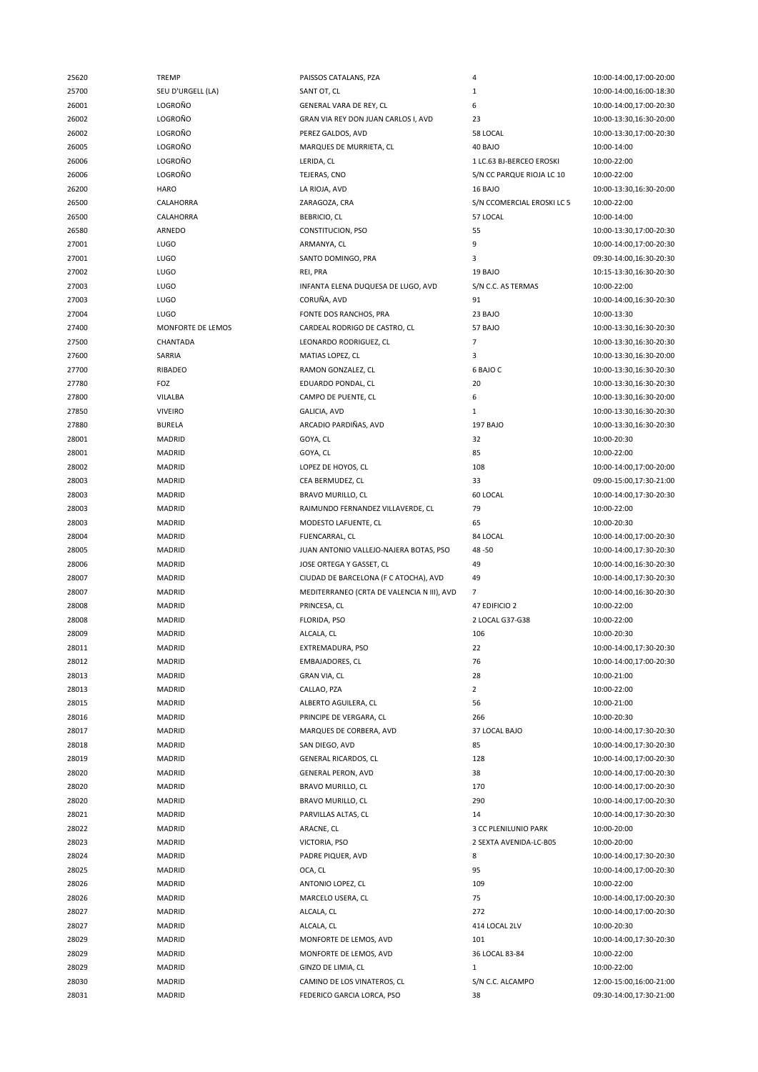| 25620 | <b>TREMP</b>      | PAISSOS CATALANS, PZA                      | 4                          | 10:00-14:00,17:00-20:00 |
|-------|-------------------|--------------------------------------------|----------------------------|-------------------------|
| 25700 | SEU D'URGELL (LA) | SANT OT, CL                                | $\mathbf{1}$               | 10:00-14:00,16:00-18:30 |
| 26001 | LOGROÑO           | GENERAL VARA DE REY, CL                    | 6                          | 10:00-14:00,17:00-20:30 |
| 26002 | LOGROÑO           | GRAN VIA REY DON JUAN CARLOS I, AVD        | 23                         | 10:00-13:30,16:30-20:00 |
| 26002 | LOGROÑO           | PEREZ GALDOS, AVD                          | 58 LOCAL                   | 10:00-13:30,17:00-20:30 |
| 26005 | LOGROÑO           | MARQUES DE MURRIETA, CL                    | 40 BAJO                    | 10:00-14:00             |
| 26006 | LOGROÑO           | LERIDA, CL                                 | 1 LC.63 BJ-BERCEO EROSKI   | 10:00-22:00             |
| 26006 | LOGROÑO           | TEJERAS, CNO                               | S/N CC PARQUE RIOJA LC 10  | 10:00-22:00             |
| 26200 | <b>HARO</b>       | LA RIOJA, AVD                              | 16 BAJO                    | 10:00-13:30,16:30-20:00 |
| 26500 | CALAHORRA         | ZARAGOZA, CRA                              | S/N CCOMERCIAL EROSKI LC 5 | 10:00-22:00             |
| 26500 | CALAHORRA         | <b>BEBRICIO, CL</b>                        | 57 LOCAL                   | 10:00-14:00             |
| 26580 | ARNEDO            | CONSTITUCION, PSO                          | 55                         | 10:00-13:30,17:00-20:30 |
| 27001 | LUGO              | ARMANYA, CL                                | 9                          | 10:00-14:00,17:00-20:30 |
| 27001 | <b>LUGO</b>       | SANTO DOMINGO, PRA                         | 3                          | 09:30-14:00,16:30-20:30 |
| 27002 | <b>LUGO</b>       | REI, PRA                                   | 19 BAJO                    | 10:15-13:30,16:30-20:30 |
| 27003 | <b>LUGO</b>       | INFANTA ELENA DUQUESA DE LUGO, AVD         | S/N C.C. AS TERMAS         | 10:00-22:00             |
| 27003 | <b>LUGO</b>       | CORUÑA, AVD                                | 91                         | 10:00-14:00,16:30-20:30 |
| 27004 | <b>LUGO</b>       | FONTE DOS RANCHOS, PRA                     | 23 BAJO                    | 10:00-13:30             |
| 27400 | MONFORTE DE LEMOS | CARDEAL RODRIGO DE CASTRO, CL              | 57 BAJO                    | 10:00-13:30,16:30-20:30 |
| 27500 | CHANTADA          | LEONARDO RODRIGUEZ, CL                     | $\overline{7}$             | 10:00-13:30,16:30-20:30 |
| 27600 | SARRIA            | MATIAS LOPEZ, CL                           | 3                          | 10:00-13:30,16:30-20:00 |
| 27700 | RIBADEO           | RAMON GONZALEZ, CL                         | 6 BAJO C                   | 10:00-13:30,16:30-20:30 |
| 27780 | FOZ               | EDUARDO PONDAL, CL                         | 20                         | 10:00-13:30,16:30-20:30 |
| 27800 | VILALBA           | CAMPO DE PUENTE, CL                        | 6                          | 10:00-13:30,16:30-20:00 |
|       | <b>VIVEIRO</b>    |                                            | $\mathbf{1}$               |                         |
| 27850 |                   | GALICIA, AVD<br>ARCADIO PARDIÑAS, AVD      |                            | 10:00-13:30,16:30-20:30 |
| 27880 | <b>BURELA</b>     |                                            | <b>197 BAJO</b><br>32      | 10:00-13:30,16:30-20:30 |
| 28001 | MADRID            | GOYA, CL                                   |                            | 10:00-20:30             |
| 28001 | MADRID            | GOYA, CL                                   | 85                         | 10:00-22:00             |
| 28002 | MADRID            | LOPEZ DE HOYOS, CL                         | 108                        | 10:00-14:00,17:00-20:00 |
| 28003 | MADRID            | CEA BERMUDEZ, CL                           | 33                         | 09:00-15:00,17:30-21:00 |
| 28003 | <b>MADRID</b>     | BRAVO MURILLO, CL                          | 60 LOCAL                   | 10:00-14:00,17:30-20:30 |
| 28003 | <b>MADRID</b>     | RAIMUNDO FERNANDEZ VILLAVERDE, CL          | 79                         | 10:00-22:00             |
| 28003 | MADRID            | MODESTO LAFUENTE, CL                       | 65                         | 10:00-20:30             |
| 28004 | <b>MADRID</b>     | FUENCARRAL, CL                             | 84 LOCAL                   | 10:00-14:00,17:00-20:30 |
| 28005 | <b>MADRID</b>     | JUAN ANTONIO VALLEJO-NAJERA BOTAS, PSO     | 48-50                      | 10:00-14:00,17:30-20:30 |
| 28006 | MADRID            | JOSE ORTEGA Y GASSET, CL                   | 49                         | 10:00-14:00,16:30-20:30 |
| 28007 | MADRID            | CIUDAD DE BARCELONA (F C ATOCHA), AVD      | 49                         | 10:00-14:00,17:30-20:30 |
| 28007 | <b>MADRID</b>     | MEDITERRANEO (CRTA DE VALENCIA N III), AVD | $\overline{7}$             | 10:00-14:00,16:30-20:30 |
| 28008 | MADRID            | PRINCESA, CL                               | 47 EDIFICIO 2              | 10:00-22:00             |
| 28008 | MADRID            | FLORIDA, PSO                               | 2 LOCAL G37-G38            | 10:00-22:00             |
| 28009 | MADRID            | ALCALA, CL                                 | 106                        | 10:00-20:30             |
| 28011 | <b>MADRID</b>     | EXTREMADURA, PSO                           | 22                         | 10:00-14:00,17:30-20:30 |
| 28012 | MADRID            | EMBAJADORES, CL                            | 76                         | 10:00-14:00,17:00-20:30 |
| 28013 | <b>MADRID</b>     | <b>GRAN VIA, CL</b>                        | 28                         | 10:00-21:00             |
| 28013 | <b>MADRID</b>     | CALLAO, PZA                                | $\overline{2}$             | 10:00-22:00             |
| 28015 | <b>MADRID</b>     | ALBERTO AGUILERA, CL                       | 56                         | 10:00-21:00             |
| 28016 | MADRID            | PRINCIPE DE VERGARA, CL                    | 266                        | 10:00-20:30             |
| 28017 | <b>MADRID</b>     | MARQUES DE CORBERA, AVD                    | 37 LOCAL BAJO              | 10:00-14:00,17:30-20:30 |
| 28018 | <b>MADRID</b>     | SAN DIEGO, AVD                             | 85                         | 10:00-14:00,17:30-20:30 |
| 28019 | MADRID            | GENERAL RICARDOS, CL                       | 128                        | 10:00-14:00,17:00-20:30 |
| 28020 | MADRID            | <b>GENERAL PERON, AVD</b>                  | 38                         | 10:00-14:00,17:00-20:30 |
| 28020 | <b>MADRID</b>     | BRAVO MURILLO, CL                          | 170                        | 10:00-14:00,17:00-20:30 |
| 28020 | <b>MADRID</b>     | BRAVO MURILLO, CL                          | 290                        | 10:00-14:00,17:00-20:30 |
| 28021 | MADRID            | PARVILLAS ALTAS, CL                        | 14                         | 10:00-14:00,17:30-20:30 |
| 28022 | MADRID            | ARACNE, CL                                 | 3 CC PLENILUNIO PARK       | 10:00-20:00             |
| 28023 | <b>MADRID</b>     | VICTORIA, PSO                              | 2 SEXTA AVENIDA-LC-B05     | 10:00-20:00             |
| 28024 | MADRID            | PADRE PIQUER, AVD                          | 8                          | 10:00-14:00,17:30-20:30 |
| 28025 | <b>MADRID</b>     | OCA, CL                                    | 95                         | 10:00-14:00,17:00-20:30 |
| 28026 | <b>MADRID</b>     | ANTONIO LOPEZ, CL                          | 109                        | 10:00-22:00             |
| 28026 | <b>MADRID</b>     | MARCELO USERA, CL                          | 75                         | 10:00-14:00,17:00-20:30 |
| 28027 | MADRID            | ALCALA, CL                                 | 272                        | 10:00-14:00,17:00-20:30 |
| 28027 | <b>MADRID</b>     | ALCALA, CL                                 | 414 LOCAL 2LV              | 10:00-20:30             |
| 28029 | <b>MADRID</b>     | MONFORTE DE LEMOS, AVD                     | 101                        | 10:00-14:00,17:30-20:30 |
| 28029 | MADRID            | MONFORTE DE LEMOS, AVD                     | 36 LOCAL 83-84             | 10:00-22:00             |
| 28029 | <b>MADRID</b>     | GINZO DE LIMIA, CL                         | 1                          | 10:00-22:00             |
| 28030 | <b>MADRID</b>     | CAMINO DE LOS VINATEROS, CL                | S/N C.C. ALCAMPO           | 12:00-15:00,16:00-21:00 |
| 28031 | <b>MADRID</b>     | FEDERICO GARCIA LORCA, PSO                 | 38                         | 09:30-14:00,17:30-21:00 |
|       |                   |                                            |                            |                         |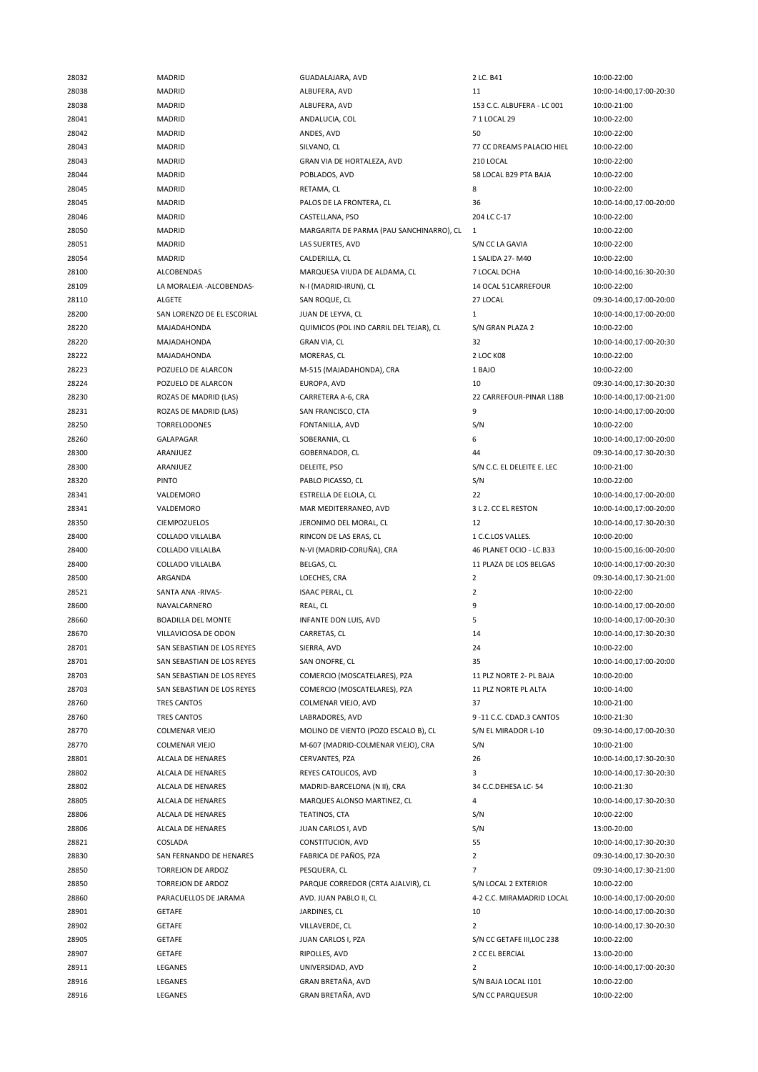| 28032 | MADRID                       | GUADALAJARA, AVD                         | 2 LC. B41                  | 10:00-22:00             |
|-------|------------------------------|------------------------------------------|----------------------------|-------------------------|
| 28038 | <b>MADRID</b>                | ALBUFERA, AVD                            | 11                         | 10:00-14:00,17:00-20:30 |
| 28038 | <b>MADRID</b>                | ALBUFERA, AVD                            | 153 C.C. ALBUFERA - LC 001 | 10:00-21:00             |
| 28041 | <b>MADRID</b>                | ANDALUCIA, COL                           | 71 LOCAL 29                | 10:00-22:00             |
| 28042 | <b>MADRID</b>                | ANDES, AVD                               | 50                         | 10:00-22:00             |
| 28043 | <b>MADRID</b>                | SILVANO, CL                              | 77 CC DREAMS PALACIO HIEL  | 10:00-22:00             |
| 28043 | <b>MADRID</b>                | GRAN VIA DE HORTALEZA, AVD               | 210 LOCAL                  | 10:00-22:00             |
| 28044 | MADRID                       | POBLADOS, AVD                            | 58 LOCAL B29 PTA BAJA      | 10:00-22:00             |
| 28045 | <b>MADRID</b>                | RETAMA, CL                               | 8                          | 10:00-22:00             |
| 28045 | <b>MADRID</b>                | PALOS DE LA FRONTERA, CL                 | 36                         | 10:00-14:00,17:00-20:00 |
| 28046 | MADRID                       |                                          | 204 LC C-17                |                         |
|       |                              | CASTELLANA, PSO                          |                            | 10:00-22:00             |
| 28050 | <b>MADRID</b>                | MARGARITA DE PARMA (PAU SANCHINARRO), CL | 1                          | 10:00-22:00             |
| 28051 | MADRID                       | LAS SUERTES, AVD                         | S/N CC LA GAVIA            | 10:00-22:00             |
| 28054 | <b>MADRID</b>                | CALDERILLA, CL                           | 1 SALIDA 27- M40           | 10:00-22:00             |
| 28100 | ALCOBENDAS                   | MARQUESA VIUDA DE ALDAMA, CL             | 7 LOCAL DCHA               | 10:00-14:00,16:30-20:30 |
| 28109 | LA MORALEJA - ALCOBENDAS-    | N-I (MADRID-IRUN), CL                    | 14 OCAL 51CARREFOUR        | 10:00-22:00             |
| 28110 | ALGETE                       | SAN ROQUE, CL                            | 27 LOCAL                   | 09:30-14:00,17:00-20:00 |
| 28200 | SAN LORENZO DE EL ESCORIAL   | JUAN DE LEYVA, CL                        | $\mathbf{1}$               | 10:00-14:00,17:00-20:00 |
| 28220 | MAJADAHONDA                  | QUIMICOS (POL IND CARRIL DEL TEJAR), CL  | S/N GRAN PLAZA 2           | 10:00-22:00             |
| 28220 | MAJADAHONDA                  | <b>GRAN VIA, CL</b>                      | 32                         | 10:00-14:00,17:00-20:30 |
| 28222 | MAJADAHONDA                  | MORERAS, CL                              | 2 LOC K08                  | 10:00-22:00             |
| 28223 | POZUELO DE ALARCON           | M-515 (MAJADAHONDA), CRA                 | 1 BAJO                     | 10:00-22:00             |
| 28224 | POZUELO DE ALARCON           | EUROPA, AVD                              | 10                         | 09:30-14:00,17:30-20:30 |
| 28230 | ROZAS DE MADRID (LAS)        | CARRETERA A-6, CRA                       | 22 CARREFOUR-PINAR L18B    | 10:00-14:00,17:00-21:00 |
| 28231 | <b>ROZAS DE MADRID (LAS)</b> | SAN FRANCISCO, CTA                       | 9                          | 10:00-14:00,17:00-20:00 |
| 28250 | <b>TORRELODONES</b>          | FONTANILLA, AVD                          | S/N                        | 10:00-22:00             |
| 28260 | GALAPAGAR                    | SOBERANIA, CL                            | 6                          | 10:00-14:00,17:00-20:00 |
| 28300 | ARANJUEZ                     | GOBERNADOR, CL                           | 44                         | 09:30-14:00,17:30-20:30 |
| 28300 | ARANJUEZ                     | DELEITE, PSO                             | S/N C.C. EL DELEITE E. LEC | 10:00-21:00             |
| 28320 | <b>PINTO</b>                 | PABLO PICASSO, CL                        |                            | 10:00-22:00             |
|       |                              |                                          | S/N                        |                         |
| 28341 | VALDEMORO                    | ESTRELLA DE ELOLA, CL                    | 22                         | 10:00-14:00,17:00-20:00 |
| 28341 | VALDEMORO                    | MAR MEDITERRANEO, AVD                    | 3 L 2. CC EL RESTON        | 10:00-14:00,17:00-20:00 |
| 28350 | <b>CIEMPOZUELOS</b>          | JERONIMO DEL MORAL, CL                   | 12                         | 10:00-14:00,17:30-20:30 |
| 28400 | COLLADO VILLALBA             | RINCON DE LAS ERAS, CL                   | 1 C.C.LOS VALLES.          | 10:00-20:00             |
| 28400 | COLLADO VILLALBA             | N-VI (MADRID-CORUÑA), CRA                | 46 PLANET OCIO - LC.B33    | 10:00-15:00,16:00-20:00 |
| 28400 | <b>COLLADO VILLALBA</b>      | BELGAS, CL                               | 11 PLAZA DE LOS BELGAS     | 10:00-14:00,17:00-20:30 |
| 28500 | ARGANDA                      | LOECHES, CRA                             | $\overline{2}$             | 09:30-14:00,17:30-21:00 |
| 28521 | SANTA ANA -RIVAS-            | <b>ISAAC PERAL, CL</b>                   | $\overline{2}$             | 10:00-22:00             |
| 28600 | NAVALCARNERO                 | REAL, CL                                 | 9                          | 10:00-14:00,17:00-20:00 |
| 28660 | <b>BOADILLA DEL MONTE</b>    | INFANTE DON LUIS, AVD                    | 5                          | 10:00-14:00,17:00-20:30 |
| 28670 | VILLAVICIOSA DE ODON         | CARRETAS, CL                             | 14                         | 10:00-14:00,17:30-20:30 |
| 28701 | SAN SEBASTIAN DE LOS REYES   | SIERRA, AVD                              | 24                         | 10:00-22:00             |
| 28701 | SAN SEBASTIAN DE LOS REYES   | SAN ONOFRE, CL                           | 35                         | 10:00-14:00,17:00-20:00 |
| 28703 | SAN SEBASTIAN DE LOS REYES   | COMERCIO (MOSCATELARES), PZA             | 11 PLZ NORTE 2- PL BAJA    | 10:00-20:00             |
| 28703 | SAN SEBASTIAN DE LOS REYES   | COMERCIO (MOSCATELARES), PZA             | 11 PLZ NORTE PL ALTA       | 10:00-14:00             |
| 28760 | TRES CANTOS                  | COLMENAR VIEJO, AVD                      | 37                         | 10:00-21:00             |
| 28760 | <b>TRES CANTOS</b>           | LABRADORES, AVD                          | 9 -11 C.C. CDAD.3 CANTOS   | 10:00-21:30             |
| 28770 | <b>COLMENAR VIEJO</b>        | MOLINO DE VIENTO (POZO ESCALO B), CL     | S/N EL MIRADOR L-10        | 09:30-14:00,17:00-20:30 |
| 28770 | <b>COLMENAR VIEJO</b>        | M-607 (MADRID-COLMENAR VIEJO), CRA       | S/N                        | 10:00-21:00             |
| 28801 | ALCALA DE HENARES            | CERVANTES, PZA                           | 26                         | 10:00-14:00,17:30-20:30 |
|       |                              |                                          | 3                          |                         |
| 28802 | ALCALA DE HENARES            | REYES CATOLICOS, AVD                     |                            | 10:00-14:00,17:30-20:30 |
| 28802 | ALCALA DE HENARES            | MADRID-BARCELONA (N II), CRA             | 34 C.C.DEHESA LC-54        | 10:00-21:30             |
| 28805 | ALCALA DE HENARES            | MARQUES ALONSO MARTINEZ, CL              | 4                          | 10:00-14:00,17:30-20:30 |
| 28806 | ALCALA DE HENARES            | TEATINOS, CTA                            | S/N                        | 10:00-22:00             |
| 28806 | ALCALA DE HENARES            | JUAN CARLOS I, AVD                       | S/N                        | 13:00-20:00             |
| 28821 | COSLADA                      | CONSTITUCION, AVD                        | 55                         | 10:00-14:00,17:30-20:30 |
| 28830 | SAN FERNANDO DE HENARES      | FABRICA DE PAÑOS, PZA                    | $\overline{2}$             | 09:30-14:00,17:30-20:30 |
| 28850 | <b>TORREJON DE ARDOZ</b>     | PESQUERA, CL                             | $\overline{7}$             | 09:30-14:00,17:30-21:00 |
| 28850 | TORREJON DE ARDOZ            | PARQUE CORREDOR (CRTA AJALVIR), CL       | S/N LOCAL 2 EXTERIOR       | 10:00-22:00             |
|       |                              | AVD. JUAN PABLO II, CL                   | 4-2 C.C. MIRAMADRID LOCAL  | 10:00-14:00,17:00-20:00 |
| 28860 | PARACUELLOS DE JARAMA        |                                          |                            |                         |
| 28901 | <b>GETAFE</b>                | JARDINES, CL                             | 10                         | 10:00-14:00,17:00-20:30 |
| 28902 | GETAFE                       | VILLAVERDE, CL                           | $\overline{2}$             | 10:00-14:00,17:30-20:30 |
| 28905 | GETAFE                       | JUAN CARLOS I, PZA                       | S/N CC GETAFE III, LOC 238 | 10:00-22:00             |
| 28907 | <b>GETAFE</b>                | RIPOLLES, AVD                            | 2 CC EL BERCIAL            | 13:00-20:00             |
| 28911 | LEGANES                      | UNIVERSIDAD, AVD                         | 2                          | 10:00-14:00,17:00-20:30 |
| 28916 | LEGANES                      | GRAN BRETAÑA, AVD                        | S/N BAJA LOCAL I101        | 10:00-22:00             |
| 28916 | LEGANES                      | GRAN BRETAÑA, AVD                        | S/N CC PARQUESUR           | 10:00-22:00             |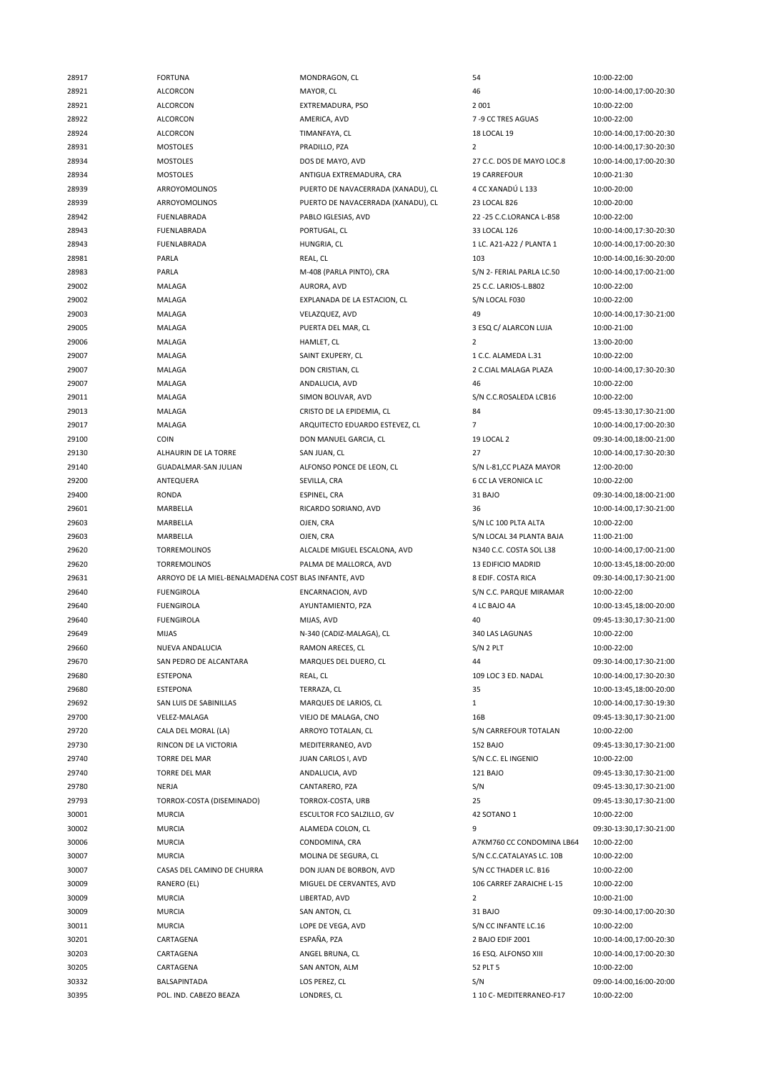| 28917          | <b>FORTUNA</b>                                       | MONDRAGON, CL                             | 54                              | 10:00-22:00                            |
|----------------|------------------------------------------------------|-------------------------------------------|---------------------------------|----------------------------------------|
| 28921          | <b>ALCORCON</b>                                      | MAYOR, CL                                 | 46                              | 10:00-14:00,17:00-20:30                |
| 28921          | ALCORCON                                             | EXTREMADURA, PSO                          | 2 0 0 1                         | 10:00-22:00                            |
| 28922          | ALCORCON                                             | AMERICA, AVD                              | 7-9 CC TRES AGUAS               | 10:00-22:00                            |
| 28924          | <b>ALCORCON</b>                                      | TIMANFAYA, CL                             | <b>18 LOCAL 19</b>              | 10:00-14:00,17:00-20:30                |
| 28931          | <b>MOSTOLES</b>                                      | PRADILLO, PZA                             | $\overline{2}$                  | 10:00-14:00,17:30-20:30                |
| 28934          | <b>MOSTOLES</b>                                      | DOS DE MAYO, AVD                          | 27 C.C. DOS DE MAYO LOC.8       | 10:00-14:00,17:00-20:30                |
| 28934          | <b>MOSTOLES</b>                                      | ANTIGUA EXTREMADURA, CRA                  | <b>19 CARREFOUR</b>             | 10:00-21:30                            |
| 28939          | ARROYOMOLINOS                                        | PUERTO DE NAVACERRADA (XANADU), CL        | 4 CC XANADÚ L 133               | 10:00-20:00                            |
|                |                                                      | PUERTO DE NAVACERRADA (XANADU), CL        |                                 |                                        |
| 28939          | ARROYOMOLINOS                                        |                                           | 23 LOCAL 826                    | 10:00-20:00                            |
| 28942          | FUENLABRADA                                          | PABLO IGLESIAS, AVD                       | 22 - 25 C.C.LORANCA L-B58       | 10:00-22:00                            |
| 28943          | <b>FUENLABRADA</b>                                   | PORTUGAL, CL                              | 33 LOCAL 126                    | 10:00-14:00,17:30-20:30                |
| 28943          | <b>FUENLABRADA</b>                                   | HUNGRIA, CL                               | 1 LC. A21-A22 / PLANTA 1        | 10:00-14:00,17:00-20:30                |
| 28981          | PARLA                                                | REAL, CL                                  | 103                             | 10:00-14:00,16:30-20:00                |
| 28983          | PARLA                                                | M-408 (PARLA PINTO), CRA                  | S/N 2- FERIAL PARLA LC.50       | 10:00-14:00,17:00-21:00                |
| 29002          | MALAGA                                               | AURORA, AVD                               | 25 C.C. LARIOS-L.B802           | 10:00-22:00                            |
| 29002          | MALAGA                                               | EXPLANADA DE LA ESTACION, CL              | S/N LOCAL F030                  | 10:00-22:00                            |
| 29003          | MALAGA                                               | VELAZQUEZ, AVD                            | 49                              | 10:00-14:00,17:30-21:00                |
| 29005          | MALAGA                                               | PUERTA DEL MAR, CL                        | 3 ESQ C/ ALARCON LUJA           | 10:00-21:00                            |
| 29006          | MALAGA                                               | HAMLET, CL                                | $\overline{2}$                  | 13:00-20:00                            |
| 29007          | MALAGA                                               | SAINT EXUPERY, CL                         | 1 C.C. ALAMEDA L.31             | 10:00-22:00                            |
| 29007          | MALAGA                                               | DON CRISTIAN, CL                          | 2 C.CIAL MALAGA PLAZA           | 10:00-14:00,17:30-20:30                |
| 29007          | MALAGA                                               | ANDALUCIA, AVD                            | 46                              | 10:00-22:00                            |
| 29011          | MALAGA                                               | SIMON BOLIVAR, AVD                        | S/N C.C.ROSALEDA LCB16          | 10:00-22:00                            |
| 29013          | <b>MALAGA</b>                                        | CRISTO DE LA EPIDEMIA, CL                 | 84                              | 09:45-13:30,17:30-21:00                |
| 29017          | MALAGA                                               | ARQUITECTO EDUARDO ESTEVEZ, CL            | 7                               | 10:00-14:00,17:00-20:30                |
| 29100          | COIN                                                 | DON MANUEL GARCIA, CL                     | 19 LOCAL 2                      | 09:30-14:00,18:00-21:00                |
|                |                                                      |                                           | 27                              |                                        |
| 29130          | ALHAURIN DE LA TORRE                                 | SAN JUAN, CL                              |                                 | 10:00-14:00,17:30-20:30                |
| 29140          | GUADALMAR-SAN JULIAN                                 | ALFONSO PONCE DE LEON, CL                 | S/N L-81, CC PLAZA MAYOR        | 12:00-20:00                            |
| 29200          | ANTEQUERA                                            | SEVILLA, CRA                              | <b>6 CC LA VERONICA LC</b>      | 10:00-22:00                            |
| 29400          | <b>RONDA</b>                                         | ESPINEL, CRA                              | 31 BAJO                         | 09:30-14:00,18:00-21:00                |
| 29601          | MARBELLA                                             | RICARDO SORIANO, AVD                      | 36                              | 10:00-14:00,17:30-21:00                |
| 29603          | MARBELLA                                             | OJEN, CRA                                 | S/N LC 100 PLTA ALTA            | 10:00-22:00                            |
| 29603          | MARBELLA                                             | OJEN, CRA                                 | S/N LOCAL 34 PLANTA BAJA        | 11:00-21:00                            |
| 29620          | <b>TORREMOLINOS</b>                                  | ALCALDE MIGUEL ESCALONA, AVD              | N340 C.C. COSTA SOL L38         | 10:00-14:00,17:00-21:00                |
| 29620          | <b>TORREMOLINOS</b>                                  | PALMA DE MALLORCA, AVD                    | <b>13 EDIFICIO MADRID</b>       | 10:00-13:45,18:00-20:00                |
| 29631          | ARROYO DE LA MIEL-BENALMADENA COST BLAS INFANTE, AVD |                                           | 8 EDIF. COSTA RICA              | 09:30-14:00,17:30-21:00                |
|                |                                                      |                                           | S/N C.C. PARQUE MIRAMAR         |                                        |
| 29640          | <b>FUENGIROLA</b>                                    | ENCARNACION, AVD                          |                                 | 10:00-22:00                            |
| 29640          | <b>FUENGIROLA</b>                                    | AYUNTAMIENTO, PZA                         | 4 LC BAJO 4A                    | 10:00-13:45,18:00-20:00                |
| 29640          | <b>FUENGIROLA</b>                                    | MIJAS, AVD                                | 40                              | 09:45-13:30,17:30-21:00                |
| 29649          | <b>MIJAS</b>                                         | N-340 (CADIZ-MALAGA), CL                  | 340 LAS LAGUNAS                 | 10:00-22:00                            |
| 29660          | NUEVA ANDALUCIA                                      |                                           |                                 | 10:00-22:00                            |
|                | SAN PEDRO DE ALCANTARA                               | RAMON ARECES, CL<br>MARQUES DEL DUERO, CL | S/N 2 PLT                       |                                        |
| 29670          |                                                      |                                           | 44                              | 09:30-14:00,17:30-21:00                |
| 29680          | <b>ESTEPONA</b>                                      | REAL, CL                                  | 109 LOC 3 ED. NADAL             | 10:00-14:00,17:30-20:30                |
| 29680          | <b>ESTEPONA</b>                                      | TERRAZA, CL                               | 35                              | 10:00-13:45,18:00-20:00                |
| 29692          | SAN LUIS DE SABINILLAS                               | MARQUES DE LARIOS, CL                     | $\mathbf{1}$                    | 10:00-14:00,17:30-19:30                |
| 29700          | VELEZ-MALAGA                                         | VIEJO DE MALAGA, CNO                      | 16B                             | 09:45-13:30,17:30-21:00                |
| 29720          | CALA DEL MORAL (LA)                                  | ARROYO TOTALAN, CL                        | S/N CARREFOUR TOTALAN           | 10:00-22:00                            |
| 29730          | RINCON DE LA VICTORIA                                | MEDITERRANEO, AVD                         | <b>152 BAJO</b>                 | 09:45-13:30,17:30-21:00                |
| 29740          | <b>TORRE DEL MAR</b>                                 | JUAN CARLOS I, AVD                        | S/N C.C. EL INGENIO             | 10:00-22:00                            |
| 29740          | <b>TORRE DEL MAR</b>                                 | ANDALUCIA, AVD                            | 121 BAJO                        | 09:45-13:30,17:30-21:00                |
| 29780          | NERJA                                                | CANTARERO, PZA                            | S/N                             | 09:45-13:30,17:30-21:00                |
| 29793          | TORROX-COSTA (DISEMINADO)                            | TORROX-COSTA, URB                         | 25                              | 09:45-13:30,17:30-21:00                |
| 30001          | <b>MURCIA</b>                                        | ESCULTOR FCO SALZILLO, GV                 | 42 SOTANO 1                     | 10:00-22:00                            |
| 30002          | <b>MURCIA</b>                                        | ALAMEDA COLON, CL                         | 9                               | 09:30-13:30,17:30-21:00                |
| 30006          | <b>MURCIA</b>                                        | CONDOMINA, CRA                            | A7KM760 CC CONDOMINA LB64       | 10:00-22:00                            |
| 30007          | <b>MURCIA</b>                                        | MOLINA DE SEGURA, CL                      | S/N C.C.CATALAYAS LC. 10B       | 10:00-22:00                            |
| 30007          | CASAS DEL CAMINO DE CHURRA                           | DON JUAN DE BORBON, AVD                   | S/N CC THADER LC. B16           | 10:00-22:00                            |
| 30009          | RANERO (EL)                                          | MIGUEL DE CERVANTES, AVD                  | 106 CARREF ZARAICHE L-15        | 10:00-22:00                            |
| 30009          | <b>MURCIA</b>                                        | LIBERTAD, AVD                             | $\overline{2}$                  | 10:00-21:00                            |
| 30009          | <b>MURCIA</b>                                        | SAN ANTON, CL                             | 31 BAJO                         | 09:30-14:00,17:00-20:30                |
| 30011          | <b>MURCIA</b>                                        | LOPE DE VEGA, AVD                         | S/N CC INFANTE LC.16            | 10:00-22:00                            |
| 30201          | CARTAGENA                                            | ESPAÑA, PZA                               | 2 BAJO EDIF 2001                | 10:00-14:00,17:00-20:30                |
|                |                                                      |                                           |                                 |                                        |
| 30203          | CARTAGENA                                            | ANGEL BRUNA, CL                           | 16 ESQ. ALFONSO XIII            | 10:00-14:00,17:00-20:30                |
| 30205          | CARTAGENA                                            | SAN ANTON, ALM                            | 52 PLT 5                        | 10:00-22:00                            |
| 30332<br>30395 | BALSAPINTADA<br>POL. IND. CABEZO BEAZA               | LOS PEREZ, CL<br>LONDRES, CL              | S/N<br>1 10 C- MEDITERRANEO-F17 | 09:00-14:00,16:00-20:00<br>10:00-22:00 |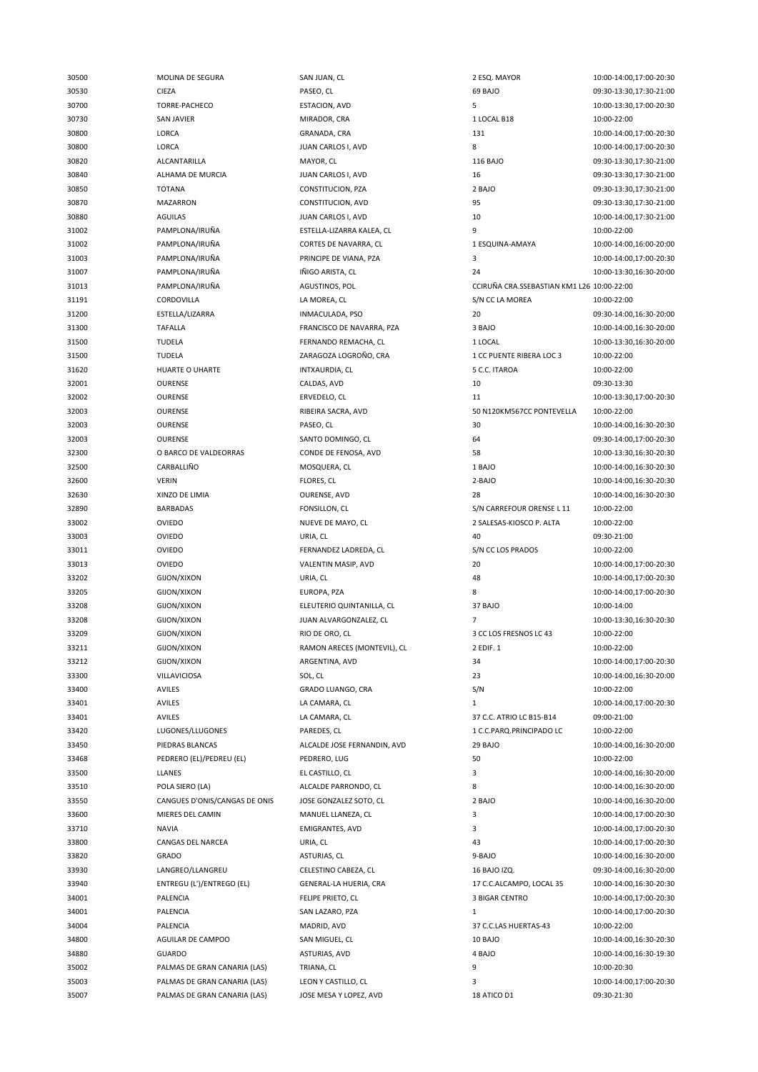| 30500 | MOLINA DE SEGURA              | SAN JUAN, CL                | 2 ESQ. MAYOR                               | 10:00-14:00,17:00-20:30 |
|-------|-------------------------------|-----------------------------|--------------------------------------------|-------------------------|
| 30530 | <b>CIEZA</b>                  | PASEO, CL                   | 69 BAJO                                    | 09:30-13:30,17:30-21:00 |
| 30700 | TORRE-PACHECO                 | ESTACION, AVD               | 5                                          | 10:00-13:30,17:00-20:30 |
| 30730 | <b>SAN JAVIER</b>             | MIRADOR, CRA                | 1 LOCAL B18                                | 10:00-22:00             |
| 30800 | LORCA                         | GRANADA, CRA                | 131                                        | 10:00-14:00,17:00-20:30 |
| 30800 | LORCA                         | JUAN CARLOS I, AVD          | 8                                          | 10:00-14:00,17:00-20:30 |
| 30820 | ALCANTARILLA                  | MAYOR, CL                   | 116 BAJO                                   | 09:30-13:30,17:30-21:00 |
| 30840 | ALHAMA DE MURCIA              | JUAN CARLOS I, AVD          | 16                                         | 09:30-13:30,17:30-21:00 |
| 30850 | <b>TOTANA</b>                 | CONSTITUCION, PZA           | 2 BAJO                                     | 09:30-13:30,17:30-21:00 |
|       |                               |                             |                                            |                         |
| 30870 | <b>MAZARRON</b>               | CONSTITUCION, AVD           | 95                                         | 09:30-13:30,17:30-21:00 |
| 30880 | <b>AGUILAS</b>                | JUAN CARLOS I, AVD          | 10                                         | 10:00-14:00,17:30-21:00 |
| 31002 | PAMPLONA/IRUÑA                | ESTELLA-LIZARRA KALEA, CL   | 9                                          | 10:00-22:00             |
| 31002 | PAMPLONA/IRUÑA                | CORTES DE NAVARRA, CL       | 1 ESQUINA-AMAYA                            | 10:00-14:00,16:00-20:00 |
| 31003 | PAMPLONA/IRUÑA                | PRINCIPE DE VIANA, PZA      | 3                                          | 10:00-14:00,17:00-20:30 |
| 31007 | PAMPLONA/IRUÑA                | IÑIGO ARISTA, CL            | 24                                         | 10:00-13:30,16:30-20:00 |
| 31013 | PAMPLONA/IRUÑA                | AGUSTINOS, POL              | CCIRUÑA CRA.SSEBASTIAN KM1 L26 10:00-22:00 |                         |
| 31191 | CORDOVILLA                    | LA MOREA, CL                | S/N CC LA MOREA                            | 10:00-22:00             |
| 31200 | ESTELLA/LIZARRA               | INMACULADA, PSO             | 20                                         | 09:30-14:00,16:30-20:00 |
| 31300 | <b>TAFALLA</b>                | FRANCISCO DE NAVARRA, PZA   | 3 BAJO                                     | 10:00-14:00,16:30-20:00 |
| 31500 | <b>TUDELA</b>                 | FERNANDO REMACHA, CL        | 1 LOCAL                                    | 10:00-13:30,16:30-20:00 |
| 31500 | <b>TUDELA</b>                 | ZARAGOZA LOGROÑO, CRA       | 1 CC PUENTE RIBERA LOC 3                   | 10:00-22:00             |
| 31620 | HUARTE O UHARTE               | INTXAURDIA, CL              | 5 C.C. ITAROA                              | 10:00-22:00             |
| 32001 | <b>OURENSE</b>                | CALDAS, AVD                 | 10                                         | 09:30-13:30             |
| 32002 | OURENSE                       | ERVEDELO, CL                | 11                                         | 10:00-13:30,17:00-20:30 |
| 32003 | OURENSE                       | RIBEIRA SACRA, AVD          | 50 N120KM567CC PONTEVELLA                  | 10:00-22:00             |
| 32003 | OURENSE                       | PASEO, CL                   | 30                                         | 10:00-14:00,16:30-20:30 |
| 32003 | <b>OURENSE</b>                | SANTO DOMINGO, CL           | 64                                         | 09:30-14:00,17:00-20:30 |
|       |                               |                             |                                            |                         |
| 32300 | O BARCO DE VALDEORRAS         | CONDE DE FENOSA, AVD        | 58                                         | 10:00-13:30,16:30-20:30 |
| 32500 | CARBALLIÑO                    | MOSQUERA, CL                | 1 BAJO                                     | 10:00-14:00,16:30-20:30 |
| 32600 | <b>VERIN</b>                  | FLORES, CL                  | 2-BAJO                                     | 10:00-14:00,16:30-20:30 |
| 32630 | XINZO DE LIMIA                | OURENSE, AVD                | 28                                         | 10:00-14:00,16:30-20:30 |
| 32890 | <b>BARBADAS</b>               | FONSILLON, CL               | S/N CARREFOUR ORENSE L 11                  | 10:00-22:00             |
| 33002 | <b>OVIEDO</b>                 | NUEVE DE MAYO, CL           | 2 SALESAS-KIOSCO P. ALTA                   | 10:00-22:00             |
| 33003 | <b>OVIEDO</b>                 | URIA, CL                    | 40                                         | 09:30-21:00             |
| 33011 | OVIEDO                        | FERNANDEZ LADREDA, CL       | S/N CC LOS PRADOS                          | 10:00-22:00             |
| 33013 | <b>OVIEDO</b>                 | VALENTIN MASIP, AVD         | 20                                         | 10:00-14:00,17:00-20:30 |
| 33202 | GIJON/XIXON                   | URIA, CL                    | 48                                         | 10:00-14:00,17:00-20:30 |
| 33205 | <b>GIJON/XIXON</b>            | EUROPA, PZA                 | 8                                          | 10:00-14:00,17:00-20:30 |
| 33208 | GIJON/XIXON                   | ELEUTERIO QUINTANILLA, CL   | 37 BAJO                                    | 10:00-14:00             |
| 33208 | <b>GIJON/XIXON</b>            | JUAN ALVARGONZALEZ, CL      | 7                                          | 10:00-13:30,16:30-20:30 |
| 33209 | <b>GIJON/XIXON</b>            | RIO DE ORO, CL              | 3 CC LOS FRESNOS LC 43                     | 10:00-22:00             |
| 33211 | GIJON/XIXON                   | RAMON ARECES (MONTEVIL), CL | 2 EDIF. 1                                  | 10:00-22:00             |
| 33212 | GIJON/XIXON                   | ARGENTINA, AVD              | 34                                         | 10:00-14:00,17:00-20:30 |
| 33300 | VILLAVICIOSA                  | SOL, CL                     | 23                                         | 10:00-14:00,16:30-20:00 |
| 33400 | AVILES                        | GRADO LUANGO, CRA           | S/N                                        | 10:00-22:00             |
| 33401 | AVILES                        | LA CAMARA, CL               | $\mathbf{1}$                               | 10:00-14:00,17:00-20:30 |
| 33401 | <b>AVILES</b>                 | LA CAMARA, CL               | 37 C.C. ATRIO LC B15-B14                   | 09:00-21:00             |
| 33420 | LUGONES/LLUGONES              | PAREDES, CL                 | 1 C.C.PARQ.PRINCIPADO LC                   | 10:00-22:00             |
|       |                               |                             |                                            |                         |
| 33450 | PIEDRAS BLANCAS               | ALCALDE JOSE FERNANDIN, AVD | 29 BAJO                                    | 10:00-14:00,16:30-20:00 |
| 33468 | PEDRERO (EL)/PEDREU (EL)      | PEDRERO, LUG                | 50                                         | 10:00-22:00             |
| 33500 | LLANES                        | EL CASTILLO, CL             | 3                                          | 10:00-14:00,16:30-20:00 |
| 33510 | POLA SIERO (LA)               | ALCALDE PARRONDO, CL        | 8                                          | 10:00-14:00,16:30-20:00 |
| 33550 | CANGUES D'ONIS/CANGAS DE ONIS | JOSE GONZALEZ SOTO, CL      | 2 BAJO                                     | 10:00-14:00,16:30-20:00 |
| 33600 | MIERES DEL CAMIN              | MANUEL LLANEZA, CL          | 3                                          | 10:00-14:00,17:00-20:30 |
| 33710 | <b>NAVIA</b>                  | <b>EMIGRANTES, AVD</b>      | 3                                          | 10:00-14:00,17:00-20:30 |
| 33800 | CANGAS DEL NARCEA             | URIA, CL                    | 43                                         | 10:00-14:00,17:00-20:30 |
| 33820 | GRADO                         | ASTURIAS, CL                | 9-BAJO                                     | 10:00-14:00,16:30-20:00 |
| 33930 | LANGREO/LLANGREU              | CELESTINO CABEZA, CL        | 16 BAJO IZQ.                               | 09:30-14:00,16:30-20:00 |
| 33940 | ENTREGU (L')/ENTREGO (EL)     | GENERAL-LA HUERIA, CRA      | 17 C.C.ALCAMPO, LOCAL 35                   | 10:00-14:00,16:30-20:30 |
| 34001 | PALENCIA                      | FELIPE PRIETO, CL           | 3 BIGAR CENTRO                             | 10:00-14:00,17:00-20:30 |
| 34001 | PALENCIA                      | SAN LAZARO, PZA             | $\mathbf{1}$                               | 10:00-14:00,17:00-20:30 |
| 34004 | <b>PALENCIA</b>               | MADRID, AVD                 | 37 C.C.LAS HUERTAS-43                      | 10:00-22:00             |
| 34800 | AGUILAR DE CAMPOO             | SAN MIGUEL, CL              | 10 BAJO                                    | 10:00-14:00,16:30-20:30 |
| 34880 | <b>GUARDO</b>                 | ASTURIAS, AVD               | 4 BAJO                                     | 10:00-14:00,16:30-19:30 |
| 35002 | PALMAS DE GRAN CANARIA (LAS)  | TRIANA, CL                  | 9                                          | 10:00-20:30             |
| 35003 | PALMAS DE GRAN CANARIA (LAS)  | LEON Y CASTILLO, CL         | 3                                          | 10:00-14:00,17:00-20:30 |
| 35007 | PALMAS DE GRAN CANARIA (LAS)  | JOSE MESA Y LOPEZ, AVD      | 18 ATICO D1                                | 09:30-21:30             |
|       |                               |                             |                                            |                         |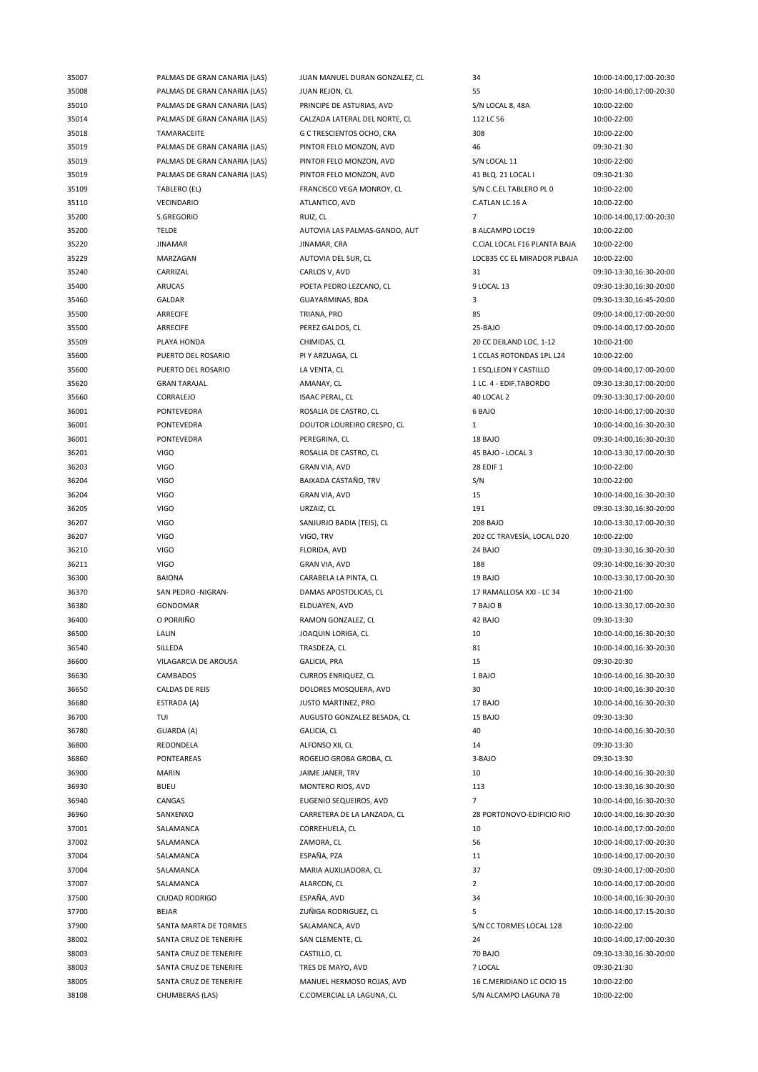| 35007 | PALMAS DE GRAN CANARIA (LAS)     | JUAN MANUEL DURAN GONZALEZ, CL | 34                                | 10:00-14:00,17:00-20:30                |
|-------|----------------------------------|--------------------------------|-----------------------------------|----------------------------------------|
| 35008 | PALMAS DE GRAN CANARIA (LAS)     | JUAN REJON, CL                 | 55                                | 10:00-14:00,17:00-20:30                |
| 35010 | PALMAS DE GRAN CANARIA (LAS)     | PRINCIPE DE ASTURIAS, AVD      | S/N LOCAL 8, 48A                  | 10:00-22:00                            |
| 35014 | PALMAS DE GRAN CANARIA (LAS)     | CALZADA LATERAL DEL NORTE, CL  | 112 LC 56                         | 10:00-22:00                            |
| 35018 | TAMARACEITE                      | G C TRESCIENTOS OCHO, CRA      | 308                               | 10:00-22:00                            |
| 35019 | PALMAS DE GRAN CANARIA (LAS)     | PINTOR FELO MONZON, AVD        | 46                                | 09:30-21:30                            |
| 35019 | PALMAS DE GRAN CANARIA (LAS)     | PINTOR FELO MONZON, AVD        | S/N LOCAL 11                      | 10:00-22:00                            |
| 35019 | PALMAS DE GRAN CANARIA (LAS)     | PINTOR FELO MONZON, AVD        | 41 BLQ. 21 LOCAL I                | 09:30-21:30                            |
| 35109 | TABLERO (EL)                     | FRANCISCO VEGA MONROY, CL      | S/N C.C.EL TABLERO PL 0           | 10:00-22:00                            |
|       | VECINDARIO                       | ATLANTICO, AVD                 |                                   |                                        |
| 35110 |                                  |                                | C.ATLAN LC.16 A<br>$\overline{7}$ | 10:00-22:00                            |
| 35200 | S.GREGORIO                       | RUIZ, CL                       |                                   | 10:00-14:00,17:00-20:30                |
| 35200 | <b>TELDE</b>                     | AUTOVIA LAS PALMAS-GANDO, AUT  | 8 ALCAMPO LOC19                   | 10:00-22:00                            |
| 35220 | <b>JINAMAR</b>                   | JINAMAR, CRA                   | C.CIAL LOCAL F16 PLANTA BAJA      | 10:00-22:00                            |
| 35229 | MARZAGAN                         | AUTOVIA DEL SUR, CL            | LOCB35 CC EL MIRADOR PLBAJA       | 10:00-22:00                            |
| 35240 | CARRIZAL                         | CARLOS V, AVD                  | 31                                | 09:30-13:30,16:30-20:00                |
| 35400 | ARUCAS                           | POETA PEDRO LEZCANO, CL        | 9 LOCAL 13                        | 09:30-13:30,16:30-20:00                |
| 35460 | GALDAR                           | GUAYARMINAS, BDA               | 3                                 | 09:30-13:30,16:45-20:00                |
| 35500 | ARRECIFE                         | TRIANA, PRO                    | 85                                | 09:00-14:00,17:00-20:00                |
| 35500 | ARRECIFE                         | PEREZ GALDOS, CL               | 25-BAJO                           | 09:00-14:00,17:00-20:00                |
| 35509 | PLAYA HONDA                      | CHIMIDAS, CL                   | 20 CC DEILAND LOC. 1-12           | 10:00-21:00                            |
| 35600 | PUERTO DEL ROSARIO               | PI Y ARZUAGA, CL               | 1 CCLAS ROTONDAS 1PL L24          | 10:00-22:00                            |
| 35600 | PUERTO DEL ROSARIO               | LA VENTA, CL                   | 1 ESQ.LEON Y CASTILLO             | 09:00-14:00,17:00-20:00                |
| 35620 | <b>GRAN TARAJAL</b>              | AMANAY, CL                     | 1 LC. 4 - EDIF.TABORDO            | 09:30-13:30,17:00-20:00                |
| 35660 | CORRALEJO                        | <b>ISAAC PERAL, CL</b>         | 40 LOCAL 2                        | 09:30-13:30,17:00-20:00                |
| 36001 | PONTEVEDRA                       | ROSALIA DE CASTRO, CL          | 6 BAJO                            | 10:00-14:00,17:00-20:30                |
| 36001 | PONTEVEDRA                       | DOUTOR LOUREIRO CRESPO, CL     | $\mathbf{1}$                      | 10:00-14:00,16:30-20:30                |
| 36001 | PONTEVEDRA                       | PEREGRINA, CL                  | 18 BAJO                           | 09:30-14:00,16:30-20:30                |
| 36201 | <b>VIGO</b>                      | ROSALIA DE CASTRO, CL          | 45 BAJO - LOCAL 3                 | 10:00-13:30,17:00-20:30                |
| 36203 | <b>VIGO</b>                      | <b>GRAN VIA, AVD</b>           | 28 EDIF 1                         | 10:00-22:00                            |
| 36204 | <b>VIGO</b>                      | BAIXADA CASTAÑO, TRV           | S/N                               | 10:00-22:00                            |
| 36204 | <b>VIGO</b>                      | <b>GRAN VIA, AVD</b>           | 15                                | 10:00-14:00,16:30-20:30                |
| 36205 | <b>VIGO</b>                      | URZAIZ, CL                     | 191                               | 09:30-13:30,16:30-20:00                |
| 36207 | <b>VIGO</b>                      | SANJURJO BADIA (TEIS), CL      | <b>208 BAJO</b>                   | 10:00-13:30,17:00-20:30                |
| 36207 | <b>VIGO</b>                      | VIGO, TRV                      | 202 CC TRAVESÍA, LOCAL D20        | 10:00-22:00                            |
| 36210 | <b>VIGO</b>                      | FLORIDA, AVD                   | 24 BAJO                           | 09:30-13:30,16:30-20:30                |
| 36211 | <b>VIGO</b>                      | <b>GRAN VIA, AVD</b>           | 188                               | 09:30-14:00,16:30-20:30                |
| 36300 | <b>BAIONA</b>                    | CARABELA LA PINTA, CL          | 19 BAJO                           | 10:00-13:30,17:00-20:30                |
| 36370 | SAN PEDRO -NIGRAN-               | DAMAS APOSTOLICAS, CL          | 17 RAMALLOSA XXI - LC 34          | 10:00-21:00                            |
| 36380 | GONDOMAR                         | ELDUAYEN, AVD                  | 7 BAJO B                          | 10:00-13:30,17:00-20:30                |
| 36400 | O PORRIÑO                        | RAMON GONZALEZ, CL             | 42 BAJO                           | 09:30-13:30                            |
| 36500 | LALIN                            | JOAQUIN LORIGA, CL             | 10                                | 10:00-14:00,16:30-20:30                |
| 36540 |                                  |                                | 81                                | 10:00-14:00,16:30-20:30                |
|       | SILLEDA                          | TRASDEZA, CL                   |                                   |                                        |
| 36600 | VILAGARCIA DE AROUSA<br>CAMBADOS | GALICIA, PRA                   | 15<br>1 BAJO                      | 09:30-20:30<br>10:00-14:00,16:30-20:30 |
| 36630 |                                  | <b>CURROS ENRIQUEZ, CL</b>     |                                   |                                        |
| 36650 | CALDAS DE REIS                   | DOLORES MOSQUERA, AVD          | 30                                | 10:00-14:00,16:30-20:30                |
| 36680 | ESTRADA (A)                      | JUSTO MARTINEZ, PRO            | 17 BAJO                           | 10:00-14:00,16:30-20:30                |
| 36700 | TUI                              | AUGUSTO GONZALEZ BESADA, CL    | 15 BAJO                           | 09:30-13:30                            |
| 36780 | GUARDA (A)                       | GALICIA, CL                    | 40                                | 10:00-14:00,16:30-20:30                |
| 36800 | REDONDELA                        | ALFONSO XII, CL                | 14                                | 09:30-13:30                            |
| 36860 | <b>PONTEAREAS</b>                | ROGELIO GROBA GROBA, CL        | 3-BAJO                            | 09:30-13:30                            |
| 36900 | <b>MARIN</b>                     | JAIME JANER, TRV               | 10                                | 10:00-14:00,16:30-20:30                |
| 36930 | <b>BUEU</b>                      | MONTERO RIOS, AVD              | 113                               | 10:00-13:30,16:30-20:30                |
| 36940 | CANGAS                           | EUGENIO SEQUEIROS, AVD         | 7                                 | 10:00-14:00,16:30-20:30                |
| 36960 | SANXENXO                         | CARRETERA DE LA LANZADA, CL    | 28 PORTONOVO-EDIFICIO RIO         | 10:00-14:00,16:30-20:30                |
| 37001 | SALAMANCA                        | CORREHUELA, CL                 | 10                                | 10:00-14:00,17:00-20:00                |
| 37002 | SALAMANCA                        | ZAMORA, CL                     | 56                                | 10:00-14:00,17:00-20:30                |
| 37004 | SALAMANCA                        | ESPAÑA, PZA                    | 11                                | 10:00-14:00,17:00-20:30                |
| 37004 | SALAMANCA                        | MARIA AUXILIADORA, CL          | 37                                | 09:30-14:00,17:00-20:00                |
| 37007 | SALAMANCA                        | ALARCON, CL                    | 2                                 | 10:00-14:00,17:00-20:00                |
| 37500 | CIUDAD RODRIGO                   | ESPAÑA, AVD                    | 34                                | 10:00-14:00,16:30-20:30                |
| 37700 | <b>BEJAR</b>                     | ZUÑIGA RODRIGUEZ, CL           | 5                                 | 10:00-14:00,17:15-20:30                |
| 37900 | SANTA MARTA DE TORMES            | SALAMANCA, AVD                 | S/N CC TORMES LOCAL 128           | 10:00-22:00                            |
| 38002 | SANTA CRUZ DE TENERIFE           | SAN CLEMENTE, CL               | 24                                | 10:00-14:00,17:00-20:30                |
| 38003 | SANTA CRUZ DE TENERIFE           | CASTILLO, CL                   | 70 BAJO                           | 09:30-13:30,16:30-20:00                |
| 38003 | SANTA CRUZ DE TENERIFE           | TRES DE MAYO, AVD              | 7 LOCAL                           | 09:30-21:30                            |
| 38005 | SANTA CRUZ DE TENERIFE           | MANUEL HERMOSO ROJAS, AVD      | 16 C.MERIDIANO LC OCIO 15         | 10:00-22:00                            |
| 38108 | CHUMBERAS (LAS)                  | C.COMERCIAL LA LAGUNA, CL      | S/N ALCAMPO LAGUNA 7B             | 10:00-22:00                            |
|       |                                  |                                |                                   |                                        |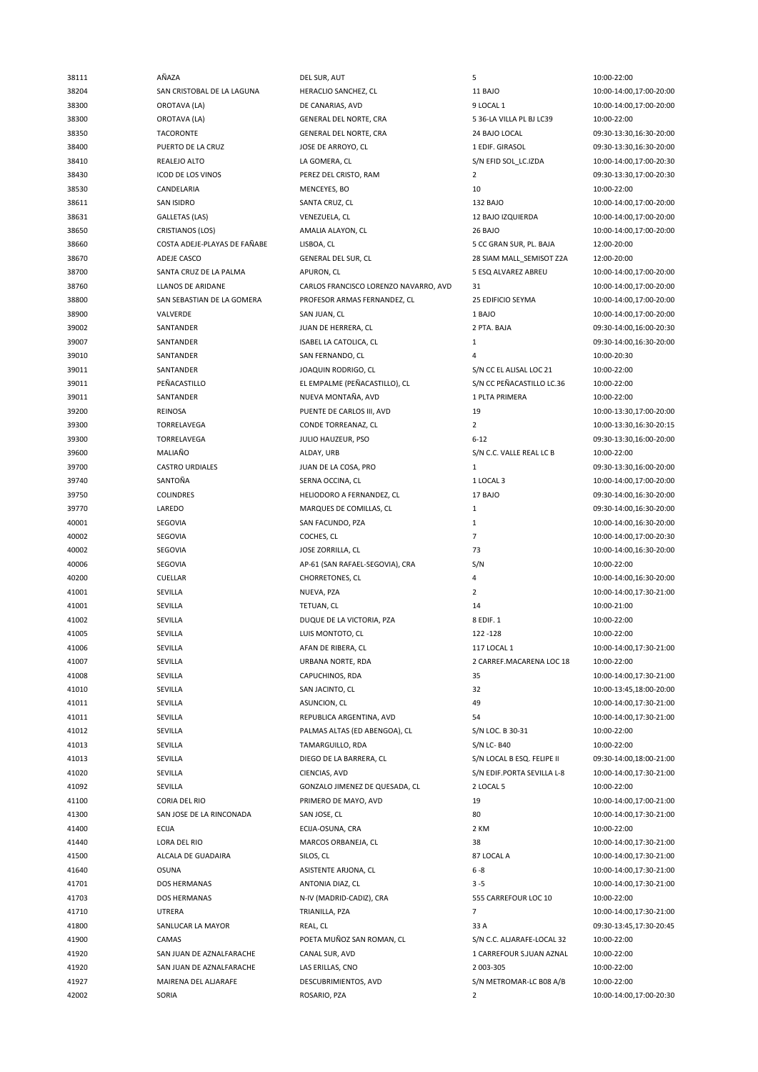| 38111 | AÑAZA                        | DEL SUR, AUT                          | 5                          | 10:00-22:00             |
|-------|------------------------------|---------------------------------------|----------------------------|-------------------------|
| 38204 | SAN CRISTOBAL DE LA LAGUNA   | HERACLIO SANCHEZ, CL                  | 11 BAJO                    | 10:00-14:00,17:00-20:00 |
| 38300 | OROTAVA (LA)                 | DE CANARIAS, AVD                      | 9 LOCAL 1                  | 10:00-14:00,17:00-20:00 |
| 38300 | OROTAVA (LA)                 | GENERAL DEL NORTE, CRA                | 5 36-LA VILLA PL BJ LC39   | 10:00-22:00             |
| 38350 | <b>TACORONTE</b>             | GENERAL DEL NORTE, CRA                | 24 BAJO LOCAL              | 09:30-13:30,16:30-20:00 |
| 38400 | PUERTO DE LA CRUZ            | JOSE DE ARROYO, CL                    | 1 EDIF. GIRASOL            | 09:30-13:30,16:30-20:00 |
| 38410 | REALEJO ALTO                 | LA GOMERA, CL                         | S/N EFID SOL LC.IZDA       | 10:00-14:00,17:00-20:30 |
| 38430 | ICOD DE LOS VINOS            | PEREZ DEL CRISTO, RAM                 | $\overline{2}$             | 09:30-13:30,17:00-20:30 |
| 38530 | CANDELARIA                   | MENCEYES, BO                          | 10                         | 10:00-22:00             |
|       |                              |                                       |                            |                         |
| 38611 | <b>SAN ISIDRO</b>            | SANTA CRUZ, CL                        | 132 BAJO                   | 10:00-14:00,17:00-20:00 |
| 38631 | <b>GALLETAS (LAS)</b>        | VENEZUELA, CL                         | 12 BAJO IZQUIERDA          | 10:00-14:00,17:00-20:00 |
| 38650 | CRISTIANOS (LOS)             | AMALIA ALAYON, CL                     | 26 BAJO                    | 10:00-14:00,17:00-20:00 |
| 38660 | COSTA ADEJE-PLAYAS DE FAÑABE | LISBOA, CL                            | 5 CC GRAN SUR, PL. BAJA    | 12:00-20:00             |
| 38670 | ADEJE CASCO                  | <b>GENERAL DEL SUR, CL</b>            | 28 SIAM MALL_SEMISOT Z2A   | 12:00-20:00             |
| 38700 | SANTA CRUZ DE LA PALMA       | APURON, CL                            | 5 ESQ ALVAREZ ABREU        | 10:00-14:00,17:00-20:00 |
| 38760 | LLANOS DE ARIDANE            | CARLOS FRANCISCO LORENZO NAVARRO, AVD | 31                         | 10:00-14:00,17:00-20:00 |
| 38800 | SAN SEBASTIAN DE LA GOMERA   | PROFESOR ARMAS FERNANDEZ, CL          | 25 EDIFICIO SEYMA          | 10:00-14:00,17:00-20:00 |
| 38900 | VALVERDE                     | SAN JUAN, CL                          | 1 BAJO                     | 10:00-14:00,17:00-20:00 |
| 39002 | SANTANDER                    | JUAN DE HERRERA, CL                   | 2 PTA. BAJA                | 09:30-14:00,16:00-20:30 |
| 39007 | SANTANDER                    | ISABEL LA CATOLICA, CL                | $\mathbf{1}$               | 09:30-14:00,16:30-20:00 |
| 39010 | SANTANDER                    | SAN FERNANDO, CL                      | 4                          | 10:00-20:30             |
| 39011 | SANTANDER                    | JOAQUIN RODRIGO, CL                   | S/N CC EL ALISAL LOC 21    | 10:00-22:00             |
| 39011 | PEÑACASTILLO                 | EL EMPALME (PEÑACASTILLO), CL         | S/N CC PEÑACASTILLO LC.36  | 10:00-22:00             |
| 39011 | SANTANDER                    | NUEVA MONTAÑA, AVD                    | 1 PLTA PRIMERA             | 10:00-22:00             |
| 39200 | <b>REINOSA</b>               | PUENTE DE CARLOS III, AVD             | 19                         | 10:00-13:30,17:00-20:00 |
|       | <b>TORRELAVEGA</b>           |                                       | $\overline{2}$             |                         |
| 39300 |                              | CONDE TORREANAZ, CL                   |                            | 10:00-13:30,16:30-20:15 |
| 39300 | TORRELAVEGA                  | JULIO HAUZEUR, PSO                    | $6 - 12$                   | 09:30-13:30,16:00-20:00 |
| 39600 | MALIAÑO                      | ALDAY, URB                            | S/N C.C. VALLE REAL LC B   | 10:00-22:00             |
| 39700 | <b>CASTRO URDIALES</b>       | JUAN DE LA COSA, PRO                  | $\mathbf{1}$               | 09:30-13:30,16:00-20:00 |
| 39740 | SANTOÑA                      | SERNA OCCINA, CL                      | 1 LOCAL 3                  | 10:00-14:00,17:00-20:00 |
| 39750 | <b>COLINDRES</b>             | HELIODORO A FERNANDEZ, CL             | 17 BAJO                    | 09:30-14:00,16:30-20:00 |
| 39770 | LAREDO                       | MARQUES DE COMILLAS, CL               | $\mathbf{1}$               | 09:30-14:00,16:30-20:00 |
| 40001 | SEGOVIA                      | SAN FACUNDO, PZA                      | $\mathbf{1}$               | 10:00-14:00,16:30-20:00 |
| 40002 | SEGOVIA                      | COCHES, CL                            | $\overline{7}$             | 10:00-14:00,17:00-20:30 |
| 40002 | SEGOVIA                      | JOSE ZORRILLA, CL                     | 73                         | 10:00-14:00,16:30-20:00 |
| 40006 | SEGOVIA                      | AP-61 (SAN RAFAEL-SEGOVIA), CRA       | S/N                        | 10:00-22:00             |
| 40200 | CUELLAR                      | CHORRETONES, CL                       | 4                          | 10:00-14:00,16:30-20:00 |
| 41001 | SEVILLA                      | NUEVA, PZA                            | $\overline{2}$             | 10:00-14:00,17:30-21:00 |
| 41001 | SEVILLA                      | TETUAN, CL                            | 14                         | 10:00-21:00             |
| 41002 | SEVILLA                      | DUQUE DE LA VICTORIA, PZA             | 8 EDIF. 1                  | 10:00-22:00             |
| 41005 | SEVILLA                      | LUIS MONTOTO, CL                      | 122-128                    | 10:00-22:00             |
| 41006 | SEVILLA                      | AFAN DE RIBERA, CL                    | 117 LOCAL 1                | 10:00-14:00,17:30-21:00 |
| 41007 | SEVILLA                      | URBANA NORTE, RDA                     | 2 CARREF.MACARENA LOC 18   | 10:00-22:00             |
| 41008 | SEVILLA                      | CAPUCHINOS, RDA                       | 35                         | 10:00-14:00,17:30-21:00 |
|       |                              |                                       |                            |                         |
| 41010 | SEVILLA                      | SAN JACINTO, CL                       | 32                         | 10:00-13:45,18:00-20:00 |
| 41011 | SEVILLA                      | ASUNCION, CL                          | 49                         | 10:00-14:00,17:30-21:00 |
| 41011 | SEVILLA                      | REPUBLICA ARGENTINA, AVD              | 54                         | 10:00-14:00,17:30-21:00 |
| 41012 | SEVILLA                      | PALMAS ALTAS (ED ABENGOA), CL         | S/N LOC. B 30-31           | 10:00-22:00             |
| 41013 | SEVILLA                      | TAMARGUILLO, RDA                      | S/N LC- B40                | 10:00-22:00             |
| 41013 | SEVILLA                      | DIEGO DE LA BARRERA, CL               | S/N LOCAL B ESQ. FELIPE II | 09:30-14:00,18:00-21:00 |
| 41020 | SEVILLA                      | CIENCIAS, AVD                         | S/N EDIF.PORTA SEVILLA L-8 | 10:00-14:00,17:30-21:00 |
| 41092 | SEVILLA                      | GONZALO JIMENEZ DE QUESADA, CL        | 2 LOCAL 5                  | 10:00-22:00             |
| 41100 | CORIA DEL RIO                | PRIMERO DE MAYO, AVD                  | 19                         | 10:00-14:00,17:00-21:00 |
| 41300 | SAN JOSE DE LA RINCONADA     | SAN JOSE, CL                          | 80                         | 10:00-14:00,17:30-21:00 |
| 41400 | <b>ECIJA</b>                 | ECIJA-OSUNA, CRA                      | 2 KM                       | 10:00-22:00             |
| 41440 | LORA DEL RIO                 | MARCOS ORBANEJA, CL                   | 38                         | 10:00-14:00,17:30-21:00 |
| 41500 | ALCALA DE GUADAIRA           | SILOS, CL                             | 87 LOCAL A                 | 10:00-14:00,17:30-21:00 |
| 41640 | <b>OSUNA</b>                 | ASISTENTE ARJONA, CL                  | $6 - 8$                    | 10:00-14:00,17:30-21:00 |
| 41701 | DOS HERMANAS                 | ANTONIA DIAZ, CL                      | $3 - 5$                    | 10:00-14:00,17:30-21:00 |
| 41703 | DOS HERMANAS                 | N-IV (MADRID-CADIZ), CRA              | 555 CARREFOUR LOC 10       | 10:00-22:00             |
| 41710 | UTRERA                       | TRIANILLA, PZA                        | $\overline{7}$             | 10:00-14:00,17:30-21:00 |
| 41800 | SANLUCAR LA MAYOR            | REAL, CL                              | 33 A                       | 09:30-13:45,17:30-20:45 |
|       |                              |                                       |                            |                         |
| 41900 | CAMAS                        | POETA MUÑOZ SAN ROMAN, CL             | S/N C.C. ALJARAFE-LOCAL 32 | 10:00-22:00             |
| 41920 | SAN JUAN DE AZNALFARACHE     | CANAL SUR, AVD                        | 1 CARREFOUR S.JUAN AZNAL   | 10:00-22:00             |
| 41920 | SAN JUAN DE AZNALFARACHE     | LAS ERILLAS, CNO                      | 2 003-305                  | 10:00-22:00             |
| 41927 | MAIRENA DEL ALJARAFE         | DESCUBRIMIENTOS, AVD                  | S/N METROMAR-LC B08 A/B    | 10:00-22:00             |
| 42002 | SORIA                        | ROSARIO, PZA                          | $\overline{2}$             | 10:00-14:00,17:00-20:30 |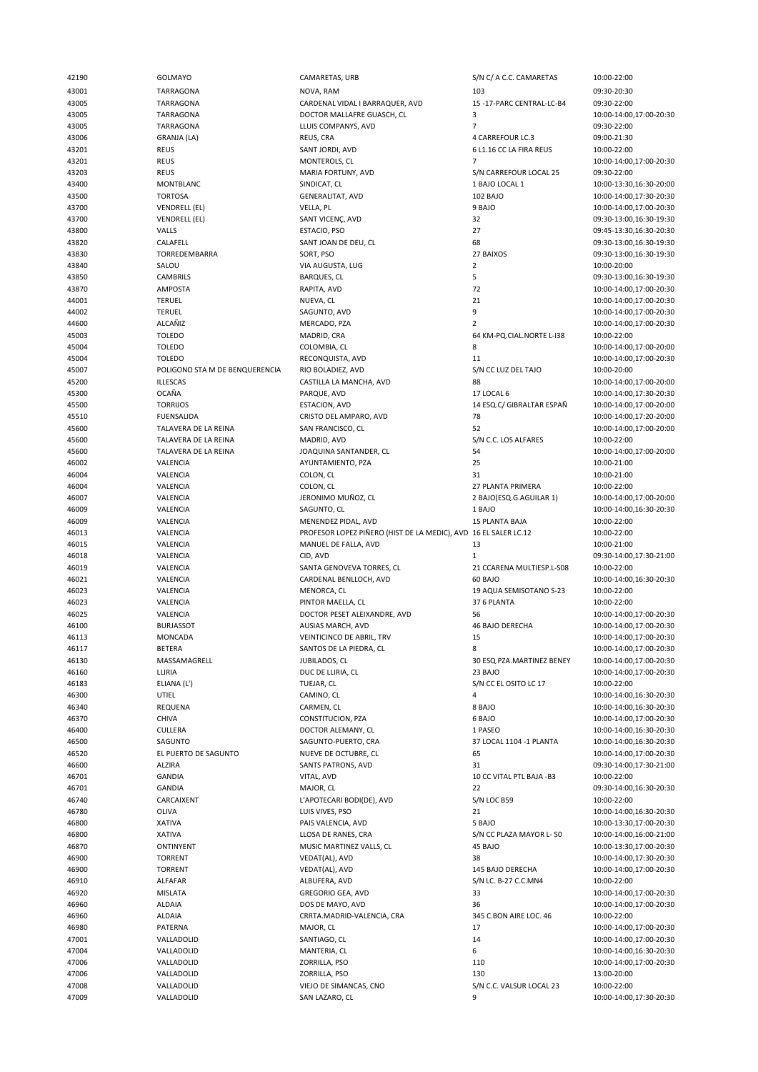43001 TARRAGONA NOVA, RAM 103 09:30-20:30 43005 TARRAGONA CARDENAL VIDAL I BARRAQUER, AVD 15 -17-PARC CENTRAL-LC-B4 09:30-22:00 43005 TARRAGONA DOCTOR MALLAFRE GUASCH, CL 3 10:00-14:00,17:00-20:30 43005 TARRAGONA LLUIS COMPANYS, AVD 7 09:30-22:00 43006 GRANJA (LA) REUS, CRA 4 CARREFOUR LC.3 09:00-21:30 43201 REUS REUS REUS SANT JORDI, AVD 6 L1.16 CC LA FIRA REUS 10:00-22:00<br>43201 REUS REUS MONTEROLS, CL 7 7 10:00-14:00 43203 REUS MARIA FORTUNY, AVD S/N CARREFOUR LOCAL 25 09:30-22:00 43400 MONTBLANC SINDICAT, CL 1 BAJO LOCAL 1 10:00-13:30,16:30-20:00 43500 TORTOSA GENERALITAT, AVD 102 BAJO 10:00-14:00,17:30-20:30 43700 VENDRELL (EL) VELLA, PL 9 BAJO 10:00-14:00,17:00-20:30 43700 VENDRELL (EL) SANT VICENÇ, AVD 32 09:30-13:00,16:30-19:30 43800 VALLS ESTACIO, PSO 27 09:45-13:30,16:30-20:30 43830 TORREDEMBARRA SORT, PSO 27 BAIXOS 09:30-13:00,16:30-19:30 43840 SALOU VIA AUGUSTA, LUG 2 10:00-20:00 43850 CAMBRILS BARQUES, CL 5 09:30-13:00,16:30-19:30 43870 AMPOSTA RAPITA, AVD 72 10:00-14:00,17:00-20:30 44002 TERUEL SAGUNTO, AVD 9 10:00-14:00,17:00-20:30 44600 ALCAÑIZ MERCADO, PZA 2 10:00-14:00,17:00-20:30 45003 TOLEDO MADRID, CRA 64 KM-PQ.CIAL.NORTE L-I38 10:00-22:00 45004 TOLEDO COLOMBIA, CL 8 10:00-14:00,17:00-20:00 45004 TOLEDO RECONQUISTA, AVD 11 10:00-14:00,17:00-20:30 45007 POLIGONO STA M DE BENQUERENCIA RIO BOLADIEZ, AVD S/N CC LUZ DEL TAJO 10:00-20:00<br>45200 10:00-14:00,17:00-20:00 CASTILLA LA MANCHA, AVD 88 88 10:00-14:00,17:00-20:00 45300 OCAÑA PARQUE, AVD 17 LOCAL 6 10:00-14:00,17:30-20:30 45500 TORRIJOS ESTACION, AVD 14 ESQ.C/ GIBRALTAR ESPAÑ 10:00-14:00,17:00-20:00 45510 FUENSALIDA CRISTO DEL AMPARO, AVD 78 10:00-14:00,17:20-20:00 45600 TALAVERA DE LA REINA SAN FRANCISCO, CL 52 10:00-14:00,17:00-20:00 45600 TALAVERA DE LA REINA JOAQUINA SANTANDER, CL 54 10:00-14:00,17:00-20:00 46002 VALENCIA AYUNTAMIENTO, PZA 25 10:00-21:00 46004 VALENCIA COLON, CL 31 10:00-21:00 46004 VALENCIA COLON, CL 27 PLANTA PRIMERA 10:00-22:00 46007 VALENCIA JERONIMO MUÑOZ, CL 2 BAJO(ESQ.G.AGUILAR 1) 10:00-14:00,17:00-20:00 46009 VALENCIA SAGUNTO, CL 1 BAJO 10:00-14:00,16:30-20:30 46013 VALENCIA PROFESOR LOPEZ PIÑERO (HIST DE LA MEDIC), AVD 16 EL SALER LC.12 10:00-22:00 46015 VALENCIA MANUEL DE FALLA, AVD 13 10:00-21:00 46018 VALENCIA CID, AVD 1 09:30-14:00,17:30-21:00 46019 VALENCIA SANTA GENOVEVA TORRES, CL 21 CCARENA MULTIESP.L-S08 10:00-22:00 46023 VALENCIA MENORCA, CL 19 AQUA SEMISOTANO S-23 10:00-22:00 46023 VALENCIA PINTOR MAELLA, CL 37 6 PLANTA 10:00-22:00 46025 VALENCIA DOCTOR PESET ALEIXANDRE, AVD 56 10:00-14:00,17:00-20:30 46100 BURJASSOT AUSIAS MARCH, AVD 46 BAJO DERECHA 10:00-14:00,17:00-20:30 46113 MONCADA VEINTICINCO DE ABRIL, TRV 15 10:00-14:00,17:00-20:30 46117 BETERA BETERA SANTOS DE LA PIEDRA, CL 8 10:00-14:00,17:00-20:30<br>46130 MASSAMAGRELL JUBILADOS, CL 30 ESQ.PZA.MARTINEZ BENEY 10:00-14:00,17:00-20:30 46130 MASSAMAGRELL JUBILADOS, CL 30 ESQ.PZA.MARTINEZ BENEY 10:00-14:00,17:00-20:30 46160 LLIRIA DUC DE LLIRIA, CL 23 BAJO 10:00-14:00,17:00-20:30 46183 ELIANA (L') TUEJAR, CL S/N CC EL OSITO LC 17 10:00-22:00 46300 UTIEL CAMINO, CL 4 10:00-14:00,16:30-20:30 46340 REQUENA CARMEN, CL 8 BAJO 10:00-14:00,16:30-20:30 46400 CULLERA DOCTOR ALEMANY, CL 1 PASEO 10:00-14:00,16:30-20:30 46500 SAGUNTO SAGUNTO-PUERTO, CRA 37 LOCAL 1104 -1 PLANTA 10:00-14:00,16:30-20:30 46520 EL PUERTO DE SAGUNTO NUEVE DE OCTUBRE, CL 65 10:00-14:00,17:00-20:30 46600 ALZIRA SANTS PATRONS, AVD 31 09:30-14:00,17:30-21:00 46701 GANDIA MAJOR, CL 22 09:30-14:00,16:30-20:30 46780 OLIVA LUIS VIVES, PSO 21 10:00-14:00,16:30-20:30 46800 XATIVA PAIS VALENCIA, AVD 5 BAJO 10:00-13:30,17:00-20:30 46800 XATIVA LLOSA DE RANES, CRA S/N CC PLAZA MAYOR L- 50 10:00-14:00,16:00-21:00 46870 ONTINYENT MUSIC MARTINEZ VALLS, CL 45 BAJO 10:00-13:30,17:00-20:30 46900 TORRENT VEDAT(AL), AVD 38 10:00-14:00,17:30-20:30 46900 TORRENT VEDAT(AL), AVD 145 BAJO DERECHA 10:00-14:00,17:00-20:30 46910 ALFAFAR ALBUFERA, AVD S/N LC. B-27 C.C.MN4 10:00-22:00 46920 MISLATA GREGORIO GEA, AVD 33 10:00-14:00,17:00-20:30 46960 ALDAIA DOS DE MAYO, AVD 36 10:00-14:00,17:00-20:30 46960 ALDAIA CRRTA.MADRID-VALENCIA, CRA 345 C.BON AIRE LOC. 46 10:00-22:00 46980 PATERNA MAJOR, CL 17 10:00-14:00,17:00-20:30 47001 VALLADOLID SANTIAGO, CL 14 10:00-14:00,17:00-20:30 47004 VALLADOLID MANTERIA, CL 6 10:00-14:00,16:30-20:30 47006 VALLADOLID ZORRILLA, PSO 110 10:00-14:00,17:00-20:30 47006 VALLADOLID ZORRILLA, PSO 130 13:00-20:00 47008 VALLADOLID VIEJO DE SIMANCAS, CNO S/N C.C. VALSUR LOCAL 23 10:00-22:00 47009 VALLADOLID SAN LAZARO, CL 9 10:00-14:00,17:30-20:30

42190 GOLMAYO CAMARETAS, URB S/N C/ A C.C. CAMARETAS 10:00-22:00 43201 REUS 10:00-14:00,17:00-20:30<br>MARIA FORTUNY. AVD S/N CARREFOUR LOCAL 25 09:30-22:00 4400.17:00-20:30 TERUEL 10:00-14:00,17:00-20:30 NUEVA, CL 21 21 10:00-14:00,17:00-20:30 TERUEL 10:00-14:00.17<br>24 10:00-14:00.17:00-20:30 SAGUNTO. AVD ILLESCAS CASTILLA LA MANCHA, AVD 1990 TALAVERA DE LA REINA MADRID, AVD AND RID, AND SAN C.C. LOS ALFARES 10:00-22:00<br>1990-14:00.17:00-20:00 TALAVERA DE LA REINA MARIDA DA MADRIDA DA SANTANDER. CL MENENDEZ PIDAL, AVD 15 PLANTA BAJA CARDENAL BENLLOCH, AVD 10:00-14:00,17:00-20:30 CONSTITUCION, PZA 6 BAJO 6 BAJO 10:00-14:00,17:00-20:30<br>10:00-14:00.16:30-20:30 CULLERA DOCTOR ALEMANY. CL 10:00-14:00.16:30-20:30 L'APOTECARI BODI(DE), AVD

10 CC VITAL PTL BAJA -B3

09:30-13:00,16:30-19:30